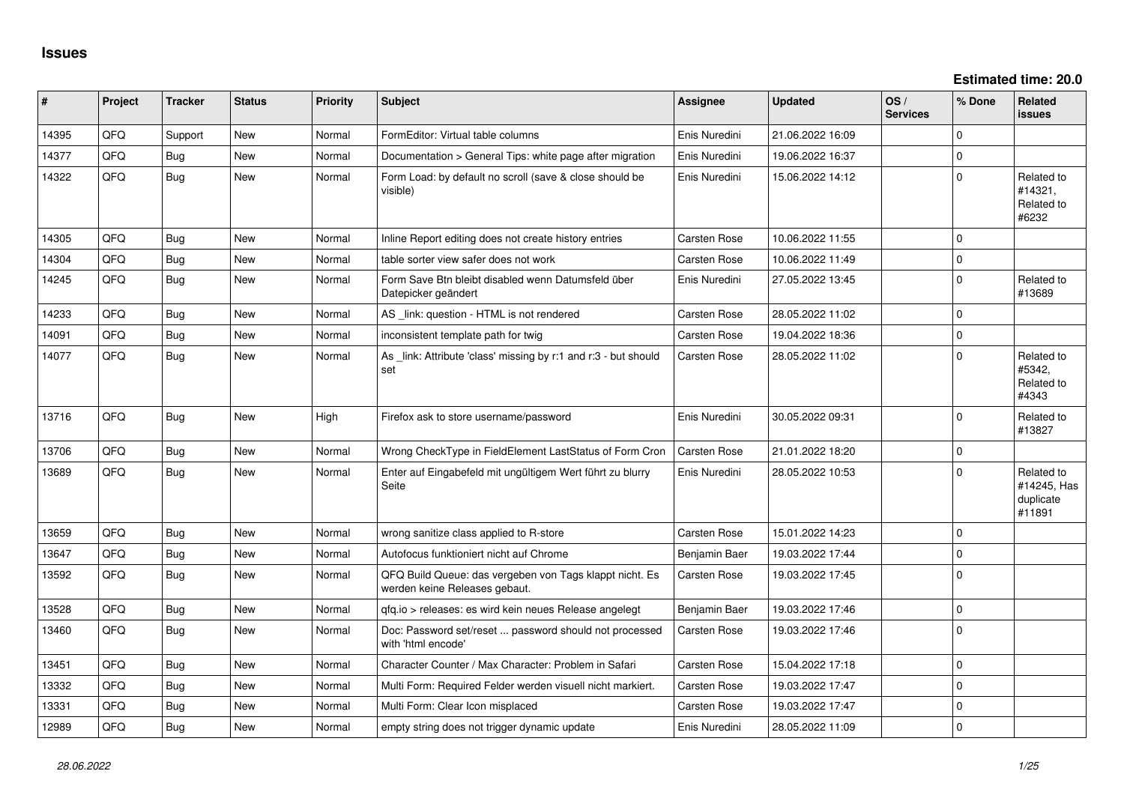| $\vert$ # | Project | <b>Tracker</b> | <b>Status</b> | <b>Priority</b> | <b>Subject</b>                                                                           | <b>Assignee</b>     | <b>Updated</b>   | OS/<br><b>Services</b> | % Done      | <b>Related</b><br>issues                         |
|-----------|---------|----------------|---------------|-----------------|------------------------------------------------------------------------------------------|---------------------|------------------|------------------------|-------------|--------------------------------------------------|
| 14395     | QFQ     | Support        | New           | Normal          | FormEditor: Virtual table columns                                                        | Enis Nuredini       | 21.06.2022 16:09 |                        | $\Omega$    |                                                  |
| 14377     | QFQ.    | Bug            | <b>New</b>    | Normal          | Documentation > General Tips: white page after migration                                 | Enis Nuredini       | 19.06.2022 16:37 |                        | $\Omega$    |                                                  |
| 14322     | QFQ     | Bug            | <b>New</b>    | Normal          | Form Load: by default no scroll (save & close should be<br>visible)                      | Enis Nuredini       | 15.06.2022 14:12 |                        | $\Omega$    | Related to<br>#14321,<br>Related to<br>#6232     |
| 14305     | QFQ     | Bug            | <b>New</b>    | Normal          | Inline Report editing does not create history entries                                    | Carsten Rose        | 10.06.2022 11:55 |                        | $\Omega$    |                                                  |
| 14304     | QFQ     | <b>Bug</b>     | <b>New</b>    | Normal          | table sorter view safer does not work                                                    | <b>Carsten Rose</b> | 10.06.2022 11:49 |                        | 0           |                                                  |
| 14245     | QFQ     | Bug            | New           | Normal          | Form Save Btn bleibt disabled wenn Datumsfeld über<br>Datepicker geändert                | Enis Nuredini       | 27.05.2022 13:45 |                        | $\Omega$    | Related to<br>#13689                             |
| 14233     | QFQ     | Bug            | <b>New</b>    | Normal          | AS _link: question - HTML is not rendered                                                | Carsten Rose        | 28.05.2022 11:02 |                        | $\Omega$    |                                                  |
| 14091     | QFQ     | Bug            | <b>New</b>    | Normal          | inconsistent template path for twig                                                      | Carsten Rose        | 19.04.2022 18:36 |                        | $\Omega$    |                                                  |
| 14077     | QFQ     | Bug            | New           | Normal          | As _link: Attribute 'class' missing by r:1 and r:3 - but should<br>set                   | Carsten Rose        | 28.05.2022 11:02 |                        | $\Omega$    | Related to<br>#5342.<br>Related to<br>#4343      |
| 13716     | QFQ     | Bug            | New           | High            | Firefox ask to store username/password                                                   | Enis Nuredini       | 30.05.2022 09:31 |                        | $\Omega$    | Related to<br>#13827                             |
| 13706     | QFQ     | Bug            | <b>New</b>    | Normal          | Wrong CheckType in FieldElement LastStatus of Form Cron                                  | <b>Carsten Rose</b> | 21.01.2022 18:20 |                        | 0           |                                                  |
| 13689     | QFQ     | Bug            | New           | Normal          | Enter auf Eingabefeld mit ungültigem Wert führt zu blurry<br>Seite                       | Enis Nuredini       | 28.05.2022 10:53 |                        | $\Omega$    | Related to<br>#14245, Has<br>duplicate<br>#11891 |
| 13659     | QFQ     | Bug            | <b>New</b>    | Normal          | wrong sanitize class applied to R-store                                                  | Carsten Rose        | 15.01.2022 14:23 |                        | $\Omega$    |                                                  |
| 13647     | QFQ     | Bug            | <b>New</b>    | Normal          | Autofocus funktioniert nicht auf Chrome                                                  | Benjamin Baer       | 19.03.2022 17:44 |                        | $\Omega$    |                                                  |
| 13592     | QFQ     | Bug            | <b>New</b>    | Normal          | QFQ Build Queue: das vergeben von Tags klappt nicht. Es<br>werden keine Releases gebaut. | Carsten Rose        | 19.03.2022 17:45 |                        | $\Omega$    |                                                  |
| 13528     | QFQ     | Bug            | <b>New</b>    | Normal          | qfq.io > releases: es wird kein neues Release angelegt                                   | Benjamin Baer       | 19.03.2022 17:46 |                        | $\mathbf 0$ |                                                  |
| 13460     | QFQ     | Bug            | New           | Normal          | Doc: Password set/reset  password should not processed<br>with 'html encode'             | Carsten Rose        | 19.03.2022 17:46 |                        | $\Omega$    |                                                  |
| 13451     | QFQ     | Bug            | <b>New</b>    | Normal          | Character Counter / Max Character: Problem in Safari                                     | Carsten Rose        | 15.04.2022 17:18 |                        | $\Omega$    |                                                  |
| 13332     | QFQ     | Bug            | <b>New</b>    | Normal          | Multi Form: Required Felder werden visuell nicht markiert.                               | Carsten Rose        | 19.03.2022 17:47 |                        | $\Omega$    |                                                  |
| 13331     | QFQ     | Bug            | New           | Normal          | Multi Form: Clear Icon misplaced                                                         | Carsten Rose        | 19.03.2022 17:47 |                        | $\Omega$    |                                                  |
| 12989     | QFQ     | Bug            | <b>New</b>    | Normal          | empty string does not trigger dynamic update                                             | Enis Nuredini       | 28.05.2022 11:09 |                        | $\Omega$    |                                                  |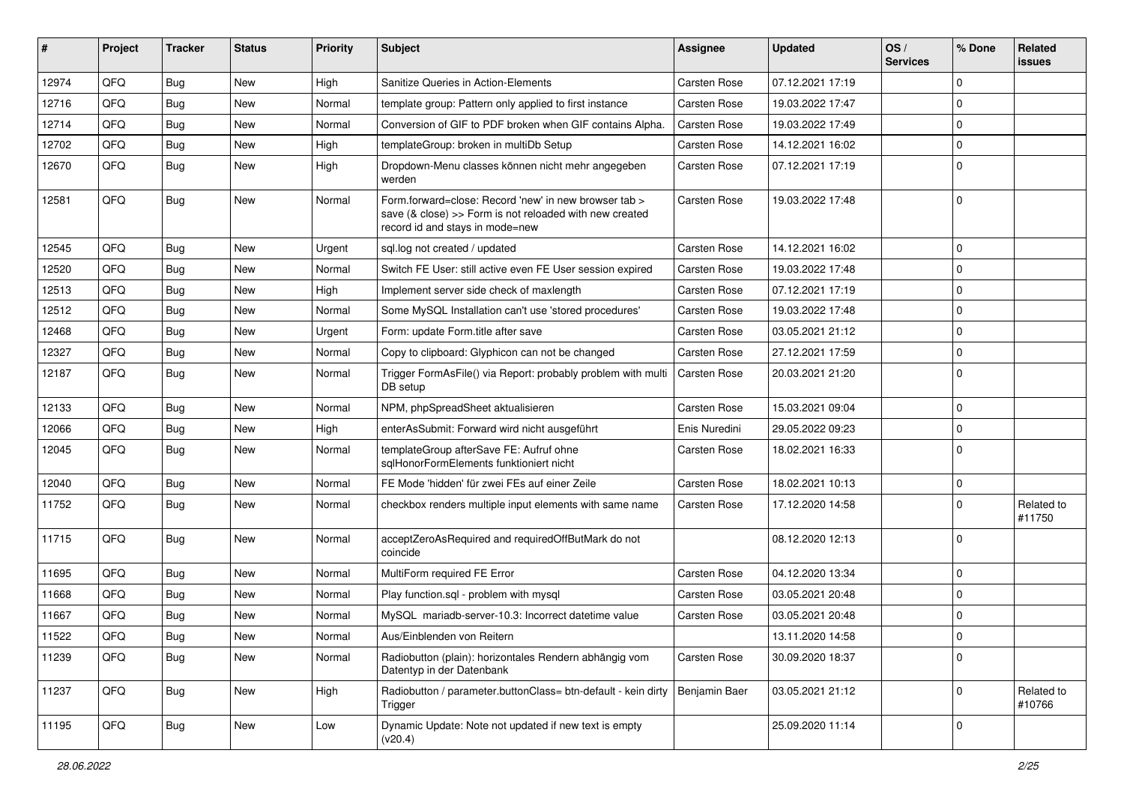| #     | Project | <b>Tracker</b> | <b>Status</b> | <b>Priority</b> | Subject                                                                                                                                             | <b>Assignee</b>     | <b>Updated</b>   | OS/<br><b>Services</b> | % Done      | Related<br><b>issues</b> |
|-------|---------|----------------|---------------|-----------------|-----------------------------------------------------------------------------------------------------------------------------------------------------|---------------------|------------------|------------------------|-------------|--------------------------|
| 12974 | QFQ     | Bug            | New           | High            | Sanitize Queries in Action-Elements                                                                                                                 | <b>Carsten Rose</b> | 07.12.2021 17:19 |                        | $\Omega$    |                          |
| 12716 | QFQ     | Bug            | New           | Normal          | template group: Pattern only applied to first instance                                                                                              | Carsten Rose        | 19.03.2022 17:47 |                        | $\Omega$    |                          |
| 12714 | QFQ     | <b>Bug</b>     | New           | Normal          | Conversion of GIF to PDF broken when GIF contains Alpha.                                                                                            | <b>Carsten Rose</b> | 19.03.2022 17:49 |                        | $\Omega$    |                          |
| 12702 | QFQ     | Bug            | New           | High            | templateGroup: broken in multiDb Setup                                                                                                              | Carsten Rose        | 14.12.2021 16:02 |                        | $\Omega$    |                          |
| 12670 | QFQ     | Bug            | New           | High            | Dropdown-Menu classes können nicht mehr angegeben<br>werden                                                                                         | <b>Carsten Rose</b> | 07.12.2021 17:19 |                        | $\Omega$    |                          |
| 12581 | QFQ     | <b>Bug</b>     | New           | Normal          | Form.forward=close: Record 'new' in new browser tab ><br>save (& close) >> Form is not reloaded with new created<br>record id and stays in mode=new | <b>Carsten Rose</b> | 19.03.2022 17:48 |                        | 0           |                          |
| 12545 | QFQ     | <b>Bug</b>     | New           | Urgent          | sql.log not created / updated                                                                                                                       | <b>Carsten Rose</b> | 14.12.2021 16:02 |                        | 0           |                          |
| 12520 | QFQ     | <b>Bug</b>     | New           | Normal          | Switch FE User: still active even FE User session expired                                                                                           | <b>Carsten Rose</b> | 19.03.2022 17:48 |                        | $\Omega$    |                          |
| 12513 | QFQ     | Bug            | New           | High            | Implement server side check of maxlength                                                                                                            | <b>Carsten Rose</b> | 07.12.2021 17:19 |                        | 0           |                          |
| 12512 | QFQ     | Bug            | <b>New</b>    | Normal          | Some MySQL Installation can't use 'stored procedures'                                                                                               | <b>Carsten Rose</b> | 19.03.2022 17:48 |                        | $\Omega$    |                          |
| 12468 | QFQ     | Bug            | New           | Urgent          | Form: update Form.title after save                                                                                                                  | Carsten Rose        | 03.05.2021 21:12 |                        | 0           |                          |
| 12327 | QFQ     | <b>Bug</b>     | New           | Normal          | Copy to clipboard: Glyphicon can not be changed                                                                                                     | Carsten Rose        | 27.12.2021 17:59 |                        | 0           |                          |
| 12187 | QFQ     | Bug            | <b>New</b>    | Normal          | Trigger FormAsFile() via Report: probably problem with multi<br>DB setup                                                                            | Carsten Rose        | 20.03.2021 21:20 |                        | $\Omega$    |                          |
| 12133 | QFQ     | <b>Bug</b>     | <b>New</b>    | Normal          | NPM, phpSpreadSheet aktualisieren                                                                                                                   | Carsten Rose        | 15.03.2021 09:04 |                        | $\mathbf 0$ |                          |
| 12066 | QFQ     | <b>Bug</b>     | New           | High            | enterAsSubmit: Forward wird nicht ausgeführt                                                                                                        | Enis Nuredini       | 29.05.2022 09:23 |                        | $\Omega$    |                          |
| 12045 | QFQ     | Bug            | New           | Normal          | templateGroup afterSave FE: Aufruf ohne<br>sqlHonorFormElements funktioniert nicht                                                                  | <b>Carsten Rose</b> | 18.02.2021 16:33 |                        | $\Omega$    |                          |
| 12040 | QFQ     | Bug            | New           | Normal          | FE Mode 'hidden' für zwei FEs auf einer Zeile                                                                                                       | Carsten Rose        | 18.02.2021 10:13 |                        | 0           |                          |
| 11752 | QFQ     | Bug            | <b>New</b>    | Normal          | checkbox renders multiple input elements with same name                                                                                             | <b>Carsten Rose</b> | 17.12.2020 14:58 |                        | 0           | Related to<br>#11750     |
| 11715 | QFQ     | Bug            | <b>New</b>    | Normal          | acceptZeroAsRequired and requiredOffButMark do not<br>coincide                                                                                      |                     | 08.12.2020 12:13 |                        | $\Omega$    |                          |
| 11695 | QFQ     | <b>Bug</b>     | New           | Normal          | MultiForm required FE Error                                                                                                                         | Carsten Rose        | 04.12.2020 13:34 |                        | $\Omega$    |                          |
| 11668 | QFQ     | Bug            | New           | Normal          | Play function.sql - problem with mysql                                                                                                              | Carsten Rose        | 03.05.2021 20:48 |                        | 0           |                          |
| 11667 | QFQ     | Bug            | New           | Normal          | MySQL mariadb-server-10.3: Incorrect datetime value                                                                                                 | Carsten Rose        | 03.05.2021 20:48 |                        | 0           |                          |
| 11522 | QFQ     | Bug            | New           | Normal          | Aus/Einblenden von Reitern                                                                                                                          |                     | 13.11.2020 14:58 |                        | 0           |                          |
| 11239 | QFQ     | <b>Bug</b>     | New           | Normal          | Radiobutton (plain): horizontales Rendern abhängig vom<br>Datentyp in der Datenbank                                                                 | Carsten Rose        | 30.09.2020 18:37 |                        | $\Omega$    |                          |
| 11237 | QFQ     | <b>Bug</b>     | <b>New</b>    | High            | Radiobutton / parameter.buttonClass= btn-default - kein dirty<br>Trigger                                                                            | Benjamin Baer       | 03.05.2021 21:12 |                        | $\mathbf 0$ | Related to<br>#10766     |
| 11195 | QFQ     | <b>Bug</b>     | New           | Low             | Dynamic Update: Note not updated if new text is empty<br>(v20.4)                                                                                    |                     | 25.09.2020 11:14 |                        | 0           |                          |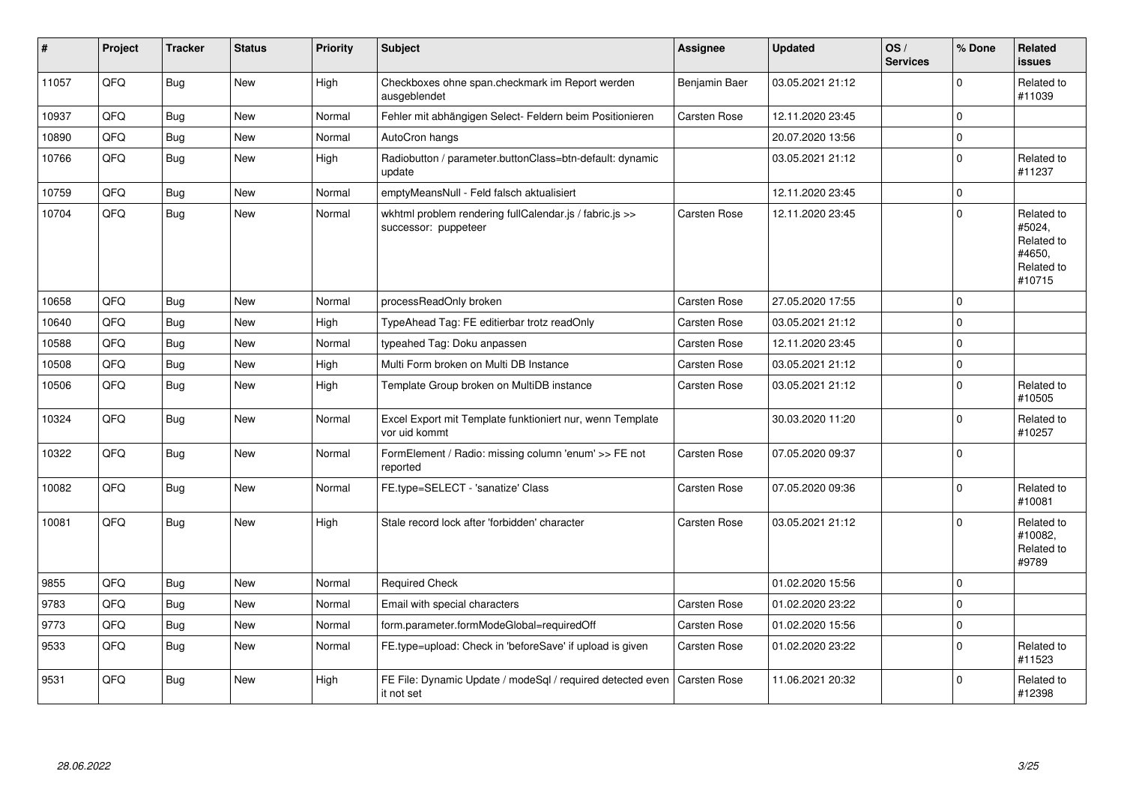| $\vert$ # | Project | <b>Tracker</b> | <b>Status</b> | <b>Priority</b> | <b>Subject</b>                                                                  | Assignee            | <b>Updated</b>   | OS/<br><b>Services</b> | % Done      | Related<br><b>issues</b>                                             |
|-----------|---------|----------------|---------------|-----------------|---------------------------------------------------------------------------------|---------------------|------------------|------------------------|-------------|----------------------------------------------------------------------|
| 11057     | QFQ     | Bug            | <b>New</b>    | High            | Checkboxes ohne span.checkmark im Report werden<br>ausgeblendet                 | Benjamin Baer       | 03.05.2021 21:12 |                        | $\Omega$    | Related to<br>#11039                                                 |
| 10937     | QFQ     | Bug            | <b>New</b>    | Normal          | Fehler mit abhängigen Select- Feldern beim Positionieren                        | Carsten Rose        | 12.11.2020 23:45 |                        | $\Omega$    |                                                                      |
| 10890     | QFQ     | <b>Bug</b>     | <b>New</b>    | Normal          | AutoCron hangs                                                                  |                     | 20.07.2020 13:56 |                        | $\Omega$    |                                                                      |
| 10766     | QFQ     | Bug            | <b>New</b>    | High            | Radiobutton / parameter.buttonClass=btn-default: dynamic<br>update              |                     | 03.05.2021 21:12 |                        | $\Omega$    | Related to<br>#11237                                                 |
| 10759     | QFQ     | Bug            | New           | Normal          | emptyMeansNull - Feld falsch aktualisiert                                       |                     | 12.11.2020 23:45 |                        | $\mathbf 0$ |                                                                      |
| 10704     | QFQ     | Bug            | New           | Normal          | wkhtml problem rendering fullCalendar.js / fabric.js >><br>successor: puppeteer | Carsten Rose        | 12.11.2020 23:45 |                        | $\Omega$    | Related to<br>#5024,<br>Related to<br>#4650.<br>Related to<br>#10715 |
| 10658     | QFQ     | Bug            | <b>New</b>    | Normal          | processReadOnly broken                                                          | <b>Carsten Rose</b> | 27.05.2020 17:55 |                        | $\Omega$    |                                                                      |
| 10640     | QFQ     | <b>Bug</b>     | New           | High            | TypeAhead Tag: FE editierbar trotz readOnly                                     | Carsten Rose        | 03.05.2021 21:12 |                        | $\Omega$    |                                                                      |
| 10588     | QFQ     | Bug            | New           | Normal          | typeahed Tag: Doku anpassen                                                     | <b>Carsten Rose</b> | 12.11.2020 23:45 |                        | $\Omega$    |                                                                      |
| 10508     | QFQ     | <b>Bug</b>     | <b>New</b>    | High            | Multi Form broken on Multi DB Instance                                          | Carsten Rose        | 03.05.2021 21:12 |                        | $\Omega$    |                                                                      |
| 10506     | QFQ     | <b>Bug</b>     | New           | High            | Template Group broken on MultiDB instance                                       | Carsten Rose        | 03.05.2021 21:12 |                        | $\Omega$    | Related to<br>#10505                                                 |
| 10324     | QFQ     | Bug            | <b>New</b>    | Normal          | Excel Export mit Template funktioniert nur, wenn Template<br>vor uid kommt      |                     | 30.03.2020 11:20 |                        | $\Omega$    | Related to<br>#10257                                                 |
| 10322     | QFQ     | Bug            | New           | Normal          | FormElement / Radio: missing column 'enum' >> FE not<br>reported                | Carsten Rose        | 07.05.2020 09:37 |                        | $\Omega$    |                                                                      |
| 10082     | QFQ     | Bug            | <b>New</b>    | Normal          | FE.type=SELECT - 'sanatize' Class                                               | Carsten Rose        | 07.05.2020 09:36 |                        | $\Omega$    | Related to<br>#10081                                                 |
| 10081     | QFQ     | Bug            | New           | High            | Stale record lock after 'forbidden' character                                   | <b>Carsten Rose</b> | 03.05.2021 21:12 |                        | $\Omega$    | Related to<br>#10082,<br>Related to<br>#9789                         |
| 9855      | QFQ     | Bug            | <b>New</b>    | Normal          | <b>Required Check</b>                                                           |                     | 01.02.2020 15:56 |                        | $\Omega$    |                                                                      |
| 9783      | QFQ     | <b>Bug</b>     | <b>New</b>    | Normal          | Email with special characters                                                   | Carsten Rose        | 01.02.2020 23:22 |                        | $\Omega$    |                                                                      |
| 9773      | QFQ     | Bug            | <b>New</b>    | Normal          | form.parameter.formModeGlobal=requiredOff                                       | <b>Carsten Rose</b> | 01.02.2020 15:56 |                        | $\Omega$    |                                                                      |
| 9533      | QFQ     | <b>Bug</b>     | <b>New</b>    | Normal          | FE.type=upload: Check in 'beforeSave' if upload is given                        | <b>Carsten Rose</b> | 01.02.2020 23:22 |                        | $\Omega$    | Related to<br>#11523                                                 |
| 9531      | QFQ     | Bug            | <b>New</b>    | High            | FE File: Dynamic Update / modeSql / required detected even<br>it not set        | Carsten Rose        | 11.06.2021 20:32 |                        | $\Omega$    | Related to<br>#12398                                                 |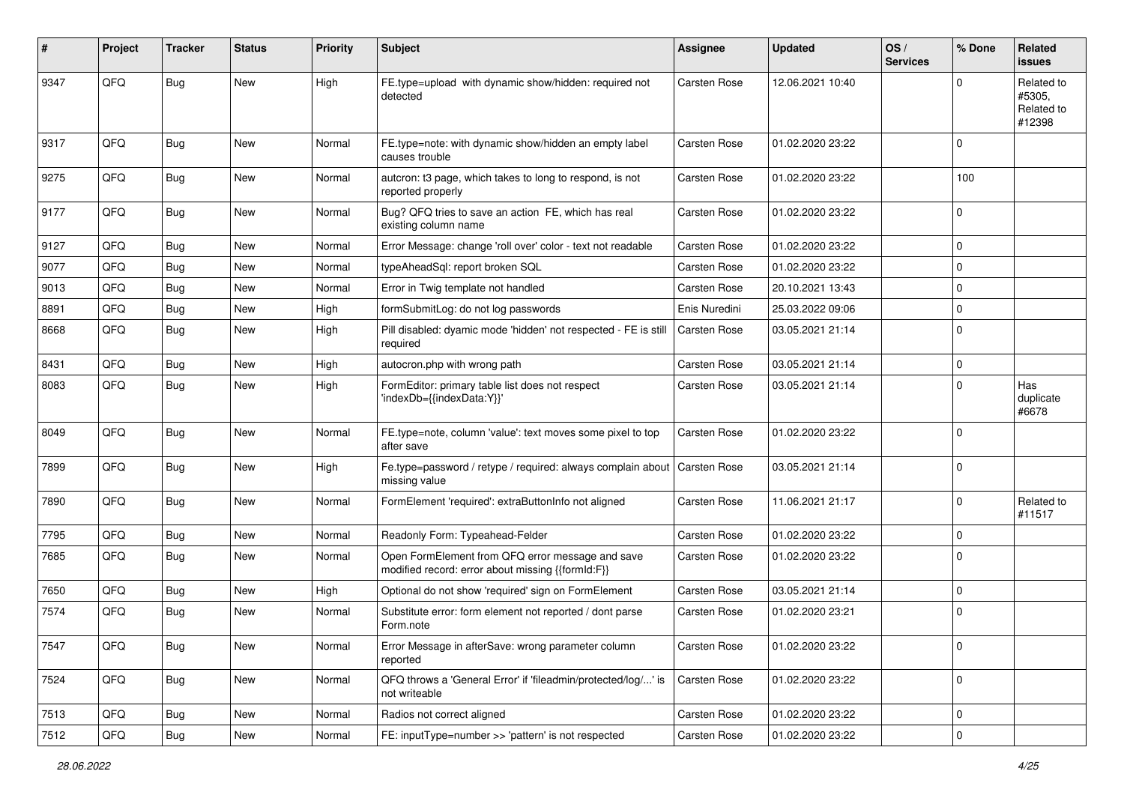| $\sharp$ | Project | <b>Tracker</b> | <b>Status</b> | <b>Priority</b> | Subject                                                                                               | <b>Assignee</b>     | <b>Updated</b>   | OS/<br><b>Services</b> | % Done              | <b>Related</b><br><b>issues</b>              |
|----------|---------|----------------|---------------|-----------------|-------------------------------------------------------------------------------------------------------|---------------------|------------------|------------------------|---------------------|----------------------------------------------|
| 9347     | QFQ     | Bug            | <b>New</b>    | High            | FE.type=upload with dynamic show/hidden: required not<br>detected                                     | <b>Carsten Rose</b> | 12.06.2021 10:40 |                        | $\Omega$            | Related to<br>#5305,<br>Related to<br>#12398 |
| 9317     | QFQ     | Bug            | <b>New</b>    | Normal          | FE.type=note: with dynamic show/hidden an empty label<br>causes trouble                               | <b>Carsten Rose</b> | 01.02.2020 23:22 |                        | $\mathbf 0$         |                                              |
| 9275     | QFQ     | Bug            | New           | Normal          | autcron: t3 page, which takes to long to respond, is not<br>reported properly                         | Carsten Rose        | 01.02.2020 23:22 |                        | 100                 |                                              |
| 9177     | QFQ     | Bug            | <b>New</b>    | Normal          | Bug? QFQ tries to save an action FE, which has real<br>existing column name                           | Carsten Rose        | 01.02.2020 23:22 |                        | $\mathbf 0$         |                                              |
| 9127     | QFQ     | <b>Bug</b>     | <b>New</b>    | Normal          | Error Message: change 'roll over' color - text not readable                                           | Carsten Rose        | 01.02.2020 23:22 |                        | $\mathbf 0$         |                                              |
| 9077     | QFQ     | Bug            | <b>New</b>    | Normal          | typeAheadSql: report broken SQL                                                                       | Carsten Rose        | 01.02.2020 23:22 |                        | $\mathbf 0$         |                                              |
| 9013     | QFQ     | Bug            | New           | Normal          | Error in Twig template not handled                                                                    | Carsten Rose        | 20.10.2021 13:43 |                        | $\mathbf 0$         |                                              |
| 8891     | QFQ     | Bug            | <b>New</b>    | High            | formSubmitLog: do not log passwords                                                                   | Enis Nuredini       | 25.03.2022 09:06 |                        | $\mathbf 0$         |                                              |
| 8668     | QFQ     | Bug            | <b>New</b>    | High            | Pill disabled: dyamic mode 'hidden' not respected - FE is still<br>required                           | Carsten Rose        | 03.05.2021 21:14 |                        | $\mathbf 0$         |                                              |
| 8431     | QFQ     | Bug            | <b>New</b>    | High            | autocron.php with wrong path                                                                          | Carsten Rose        | 03.05.2021 21:14 |                        | $\mathbf 0$         |                                              |
| 8083     | QFQ     | <b>Bug</b>     | New           | High            | FormEditor: primary table list does not respect<br>'indexDb={{indexData:Y}}'                          | <b>Carsten Rose</b> | 03.05.2021 21:14 |                        | $\mathbf 0$         | Has<br>duplicate<br>#6678                    |
| 8049     | QFQ     | <b>Bug</b>     | New           | Normal          | FE.type=note, column 'value': text moves some pixel to top<br>after save                              | Carsten Rose        | 01.02.2020 23:22 |                        | $\mathbf 0$         |                                              |
| 7899     | QFQ     | <b>Bug</b>     | <b>New</b>    | High            | Fe.type=password / retype / required: always complain about<br>missing value                          | <b>Carsten Rose</b> | 03.05.2021 21:14 |                        | $\mathbf 0$         |                                              |
| 7890     | QFQ     | Bug            | New           | Normal          | FormElement 'required': extraButtonInfo not aligned                                                   | Carsten Rose        | 11.06.2021 21:17 |                        | $\mathbf 0$         | Related to<br>#11517                         |
| 7795     | QFQ     | Bug            | New           | Normal          | Readonly Form: Typeahead-Felder                                                                       | Carsten Rose        | 01.02.2020 23:22 |                        | $\mathbf 0$         |                                              |
| 7685     | QFQ     | Bug            | <b>New</b>    | Normal          | Open FormElement from QFQ error message and save<br>modified record: error about missing {{formId:F}} | Carsten Rose        | 01.02.2020 23:22 |                        | $\mathbf 0$         |                                              |
| 7650     | QFQ     | <b>Bug</b>     | <b>New</b>    | High            | Optional do not show 'required' sign on FormElement                                                   | Carsten Rose        | 03.05.2021 21:14 |                        | $\mathbf 0$         |                                              |
| 7574     | QFQ     | <b>Bug</b>     | <b>New</b>    | Normal          | Substitute error: form element not reported / dont parse<br>Form.note                                 | <b>Carsten Rose</b> | 01.02.2020 23:21 |                        | $\mathbf 0$         |                                              |
| 7547     | QFQ     | <b>Bug</b>     | New           | Normal          | Error Message in afterSave: wrong parameter column<br>reported                                        | Carsten Rose        | 01.02.2020 23:22 |                        | 0                   |                                              |
| 7524     | QFQ     | <b>Bug</b>     | New           | Normal          | QFQ throws a 'General Error' if 'fileadmin/protected/log/' is<br>not writeable                        | Carsten Rose        | 01.02.2020 23:22 |                        | $\mathbf 0$         |                                              |
| 7513     | QFQ     | <b>Bug</b>     | New           | Normal          | Radios not correct aligned                                                                            | Carsten Rose        | 01.02.2020 23:22 |                        | $\mathbf 0$         |                                              |
| 7512     | QFG     | Bug            | New           | Normal          | FE: inputType=number >> 'pattern' is not respected                                                    | Carsten Rose        | 01.02.2020 23:22 |                        | $\mathsf{O}\xspace$ |                                              |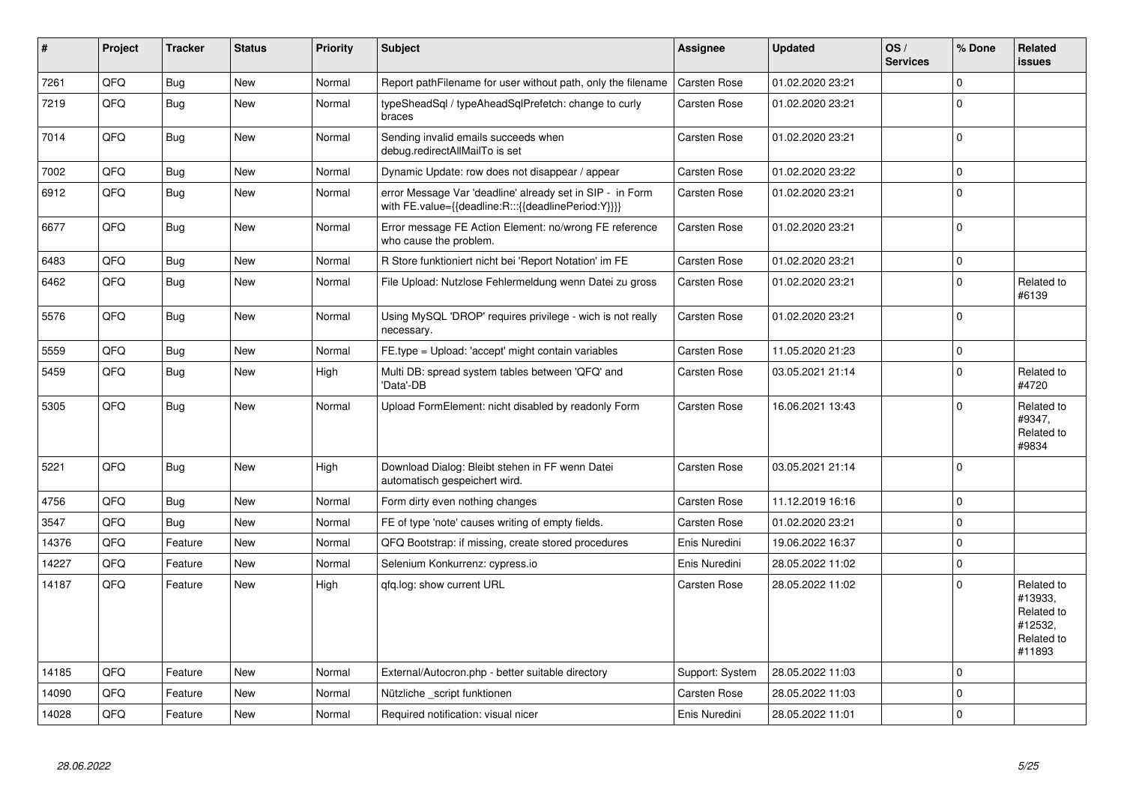| $\vert$ # | Project    | <b>Tracker</b> | <b>Status</b> | <b>Priority</b> | <b>Subject</b>                                                                                                   | <b>Assignee</b>     | <b>Updated</b>   | OS/<br><b>Services</b> | % Done      | Related<br><b>issues</b>                                               |
|-----------|------------|----------------|---------------|-----------------|------------------------------------------------------------------------------------------------------------------|---------------------|------------------|------------------------|-------------|------------------------------------------------------------------------|
| 7261      | QFQ        | <b>Bug</b>     | <b>New</b>    | Normal          | Report pathFilename for user without path, only the filename                                                     | Carsten Rose        | 01.02.2020 23:21 |                        | $\Omega$    |                                                                        |
| 7219      | QFQ        | <b>Bug</b>     | New           | Normal          | typeSheadSql / typeAheadSqlPrefetch: change to curly<br>braces                                                   | <b>Carsten Rose</b> | 01.02.2020 23:21 |                        | $\Omega$    |                                                                        |
| 7014      | QFQ        | Bug            | <b>New</b>    | Normal          | Sending invalid emails succeeds when<br>debug.redirectAllMailTo is set                                           | Carsten Rose        | 01.02.2020 23:21 |                        | $\Omega$    |                                                                        |
| 7002      | QFQ        | <b>Bug</b>     | <b>New</b>    | Normal          | Dynamic Update: row does not disappear / appear                                                                  | <b>Carsten Rose</b> | 01.02.2020 23:22 |                        | $\mathbf 0$ |                                                                        |
| 6912      | QFQ        | Bug            | <b>New</b>    | Normal          | error Message Var 'deadline' already set in SIP - in Form<br>with FE.value={{deadline:R:::{{deadlinePeriod:Y}}}} | <b>Carsten Rose</b> | 01.02.2020 23:21 |                        | $\Omega$    |                                                                        |
| 6677      | QFQ        | Bug            | New           | Normal          | Error message FE Action Element: no/wrong FE reference<br>who cause the problem.                                 | Carsten Rose        | 01.02.2020 23:21 |                        | $\mathbf 0$ |                                                                        |
| 6483      | <b>OFO</b> | Bug            | <b>New</b>    | Normal          | R Store funktioniert nicht bei 'Report Notation' im FE                                                           | Carsten Rose        | 01.02.2020 23:21 |                        | $\mathbf 0$ |                                                                        |
| 6462      | QFQ        | <b>Bug</b>     | New           | Normal          | File Upload: Nutzlose Fehlermeldung wenn Datei zu gross                                                          | <b>Carsten Rose</b> | 01.02.2020 23:21 |                        | $\Omega$    | Related to<br>#6139                                                    |
| 5576      | QFQ        | <b>Bug</b>     | New           | Normal          | Using MySQL 'DROP' requires privilege - wich is not really<br>necessary.                                         | Carsten Rose        | 01.02.2020 23:21 |                        | $\mathbf 0$ |                                                                        |
| 5559      | QFQ        | Bug            | <b>New</b>    | Normal          | FE.type = Upload: 'accept' might contain variables                                                               | <b>Carsten Rose</b> | 11.05.2020 21:23 |                        | $\mathbf 0$ |                                                                        |
| 5459      | QFQ        | <b>Bug</b>     | <b>New</b>    | High            | Multi DB: spread system tables between 'QFQ' and<br>'Data'-DB                                                    | Carsten Rose        | 03.05.2021 21:14 |                        | $\Omega$    | Related to<br>#4720                                                    |
| 5305      | QFQ        | <b>Bug</b>     | New           | Normal          | Upload FormElement: nicht disabled by readonly Form                                                              | <b>Carsten Rose</b> | 16.06.2021 13:43 |                        | $\Omega$    | Related to<br>#9347,<br>Related to<br>#9834                            |
| 5221      | QFQ        | <b>Bug</b>     | <b>New</b>    | High            | Download Dialog: Bleibt stehen in FF wenn Datei<br>automatisch gespeichert wird.                                 | <b>Carsten Rose</b> | 03.05.2021 21:14 |                        | $\Omega$    |                                                                        |
| 4756      | QFQ        | Bug            | <b>New</b>    | Normal          | Form dirty even nothing changes                                                                                  | <b>Carsten Rose</b> | 11.12.2019 16:16 |                        | $\mathbf 0$ |                                                                        |
| 3547      | QFQ        | <b>Bug</b>     | <b>New</b>    | Normal          | FE of type 'note' causes writing of empty fields.                                                                | Carsten Rose        | 01.02.2020 23:21 |                        | $\Omega$    |                                                                        |
| 14376     | QFQ        | Feature        | <b>New</b>    | Normal          | QFQ Bootstrap: if missing, create stored procedures                                                              | Enis Nuredini       | 19.06.2022 16:37 |                        | $\mathbf 0$ |                                                                        |
| 14227     | QFQ        | Feature        | <b>New</b>    | Normal          | Selenium Konkurrenz: cypress.io                                                                                  | Enis Nuredini       | 28.05.2022 11:02 |                        | $\mathbf 0$ |                                                                        |
| 14187     | QFQ        | Feature        | <b>New</b>    | High            | qfq.log: show current URL                                                                                        | Carsten Rose        | 28.05.2022 11:02 |                        | $\Omega$    | Related to<br>#13933,<br>Related to<br>#12532,<br>Related to<br>#11893 |
| 14185     | QFQ        | Feature        | <b>New</b>    | Normal          | External/Autocron.php - better suitable directory                                                                | Support: System     | 28.05.2022 11:03 |                        | $\Omega$    |                                                                        |
| 14090     | QFQ        | Feature        | <b>New</b>    | Normal          | Nützliche _script funktionen                                                                                     | <b>Carsten Rose</b> | 28.05.2022 11:03 |                        | $\Omega$    |                                                                        |
| 14028     | QFQ        | Feature        | New           | Normal          | Required notification: visual nicer                                                                              | Enis Nuredini       | 28.05.2022 11:01 |                        | $\Omega$    |                                                                        |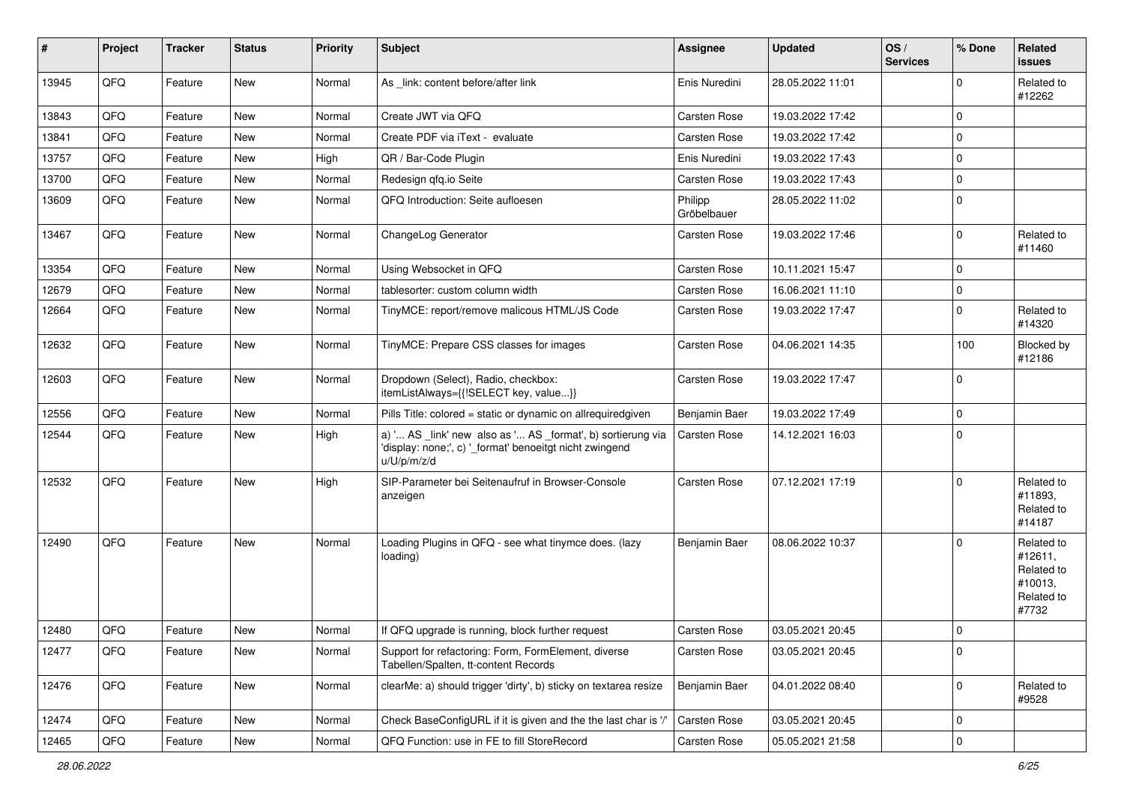| #     | Project | <b>Tracker</b> | <b>Status</b> | <b>Priority</b> | Subject                                                                                                                               | Assignee               | <b>Updated</b>   | OS/<br><b>Services</b> | % Done              | <b>Related</b><br><b>issues</b>                                       |
|-------|---------|----------------|---------------|-----------------|---------------------------------------------------------------------------------------------------------------------------------------|------------------------|------------------|------------------------|---------------------|-----------------------------------------------------------------------|
| 13945 | QFQ     | Feature        | New           | Normal          | As _link: content before/after link                                                                                                   | Enis Nuredini          | 28.05.2022 11:01 |                        | $\mathbf 0$         | Related to<br>#12262                                                  |
| 13843 | QFQ     | Feature        | <b>New</b>    | Normal          | Create JWT via QFQ                                                                                                                    | Carsten Rose           | 19.03.2022 17:42 |                        | $\mathbf 0$         |                                                                       |
| 13841 | QFQ     | Feature        | <b>New</b>    | Normal          | Create PDF via iText - evaluate                                                                                                       | <b>Carsten Rose</b>    | 19.03.2022 17:42 |                        | $\mathbf 0$         |                                                                       |
| 13757 | QFQ     | Feature        | New           | High            | QR / Bar-Code Plugin                                                                                                                  | Enis Nuredini          | 19.03.2022 17:43 |                        | $\mathbf 0$         |                                                                       |
| 13700 | QFQ     | Feature        | <b>New</b>    | Normal          | Redesign qfq.io Seite                                                                                                                 | <b>Carsten Rose</b>    | 19.03.2022 17:43 |                        | $\mathbf 0$         |                                                                       |
| 13609 | QFQ     | Feature        | New           | Normal          | QFQ Introduction: Seite aufloesen                                                                                                     | Philipp<br>Gröbelbauer | 28.05.2022 11:02 |                        | $\mathbf 0$         |                                                                       |
| 13467 | QFQ     | Feature        | New           | Normal          | ChangeLog Generator                                                                                                                   | <b>Carsten Rose</b>    | 19.03.2022 17:46 |                        | $\mathbf 0$         | Related to<br>#11460                                                  |
| 13354 | QFQ     | Feature        | <b>New</b>    | Normal          | Using Websocket in QFQ                                                                                                                | Carsten Rose           | 10.11.2021 15:47 |                        | $\mathbf 0$         |                                                                       |
| 12679 | QFQ     | Feature        | <b>New</b>    | Normal          | tablesorter: custom column width                                                                                                      | <b>Carsten Rose</b>    | 16.06.2021 11:10 |                        | $\mathbf 0$         |                                                                       |
| 12664 | QFQ     | Feature        | New           | Normal          | TinyMCE: report/remove malicous HTML/JS Code                                                                                          | Carsten Rose           | 19.03.2022 17:47 |                        | 0                   | Related to<br>#14320                                                  |
| 12632 | QFQ     | Feature        | New           | Normal          | TinyMCE: Prepare CSS classes for images                                                                                               | Carsten Rose           | 04.06.2021 14:35 |                        | 100                 | Blocked by<br>#12186                                                  |
| 12603 | QFQ     | Feature        | <b>New</b>    | Normal          | Dropdown (Select), Radio, checkbox:<br>itemListAlways={{!SELECT key, value}}                                                          | <b>Carsten Rose</b>    | 19.03.2022 17:47 |                        | $\mathbf 0$         |                                                                       |
| 12556 | QFQ     | Feature        | <b>New</b>    | Normal          | Pills Title: colored = static or dynamic on allrequiredgiven                                                                          | Benjamin Baer          | 19.03.2022 17:49 |                        | $\mathbf 0$         |                                                                       |
| 12544 | QFQ     | Feature        | New           | High            | a) ' AS _link' new also as ' AS _format', b) sortierung via<br>'display: none;', c) '_format' benoeitgt nicht zwingend<br>u/U/p/m/z/d | Carsten Rose           | 14.12.2021 16:03 |                        | $\mathbf 0$         |                                                                       |
| 12532 | QFQ     | Feature        | <b>New</b>    | High            | SIP-Parameter bei Seitenaufruf in Browser-Console<br>anzeigen                                                                         | <b>Carsten Rose</b>    | 07.12.2021 17:19 |                        | $\mathbf 0$         | Related to<br>#11893,<br>Related to<br>#14187                         |
| 12490 | QFQ     | Feature        | <b>New</b>    | Normal          | Loading Plugins in QFQ - see what tinymce does. (lazy<br>loading)                                                                     | Benjamin Baer          | 08.06.2022 10:37 |                        | $\mathbf 0$         | Related to<br>#12611,<br>Related to<br>#10013,<br>Related to<br>#7732 |
| 12480 | QFQ     | Feature        | New           | Normal          | If QFQ upgrade is running, block further request                                                                                      | <b>Carsten Rose</b>    | 03.05.2021 20:45 |                        | $\mathbf 0$         |                                                                       |
| 12477 | QFQ     | Feature        | New           | Normal          | Support for refactoring: Form, FormElement, diverse<br>Tabellen/Spalten, tt-content Records                                           | Carsten Rose           | 03.05.2021 20:45 |                        | $\mathsf 0$         |                                                                       |
| 12476 | QFQ     | Feature        | New           | Normal          | clearMe: a) should trigger 'dirty', b) sticky on textarea resize                                                                      | Benjamin Baer          | 04.01.2022 08:40 |                        | $\mathbf 0$         | Related to<br>#9528                                                   |
| 12474 | QFQ     | Feature        | New           | Normal          | Check BaseConfigURL if it is given and the the last char is '/'                                                                       | Carsten Rose           | 03.05.2021 20:45 |                        | $\mathbf 0$         |                                                                       |
| 12465 | QFG     | Feature        | New           | Normal          | QFQ Function: use in FE to fill StoreRecord                                                                                           | Carsten Rose           | 05.05.2021 21:58 |                        | $\mathsf{O}\xspace$ |                                                                       |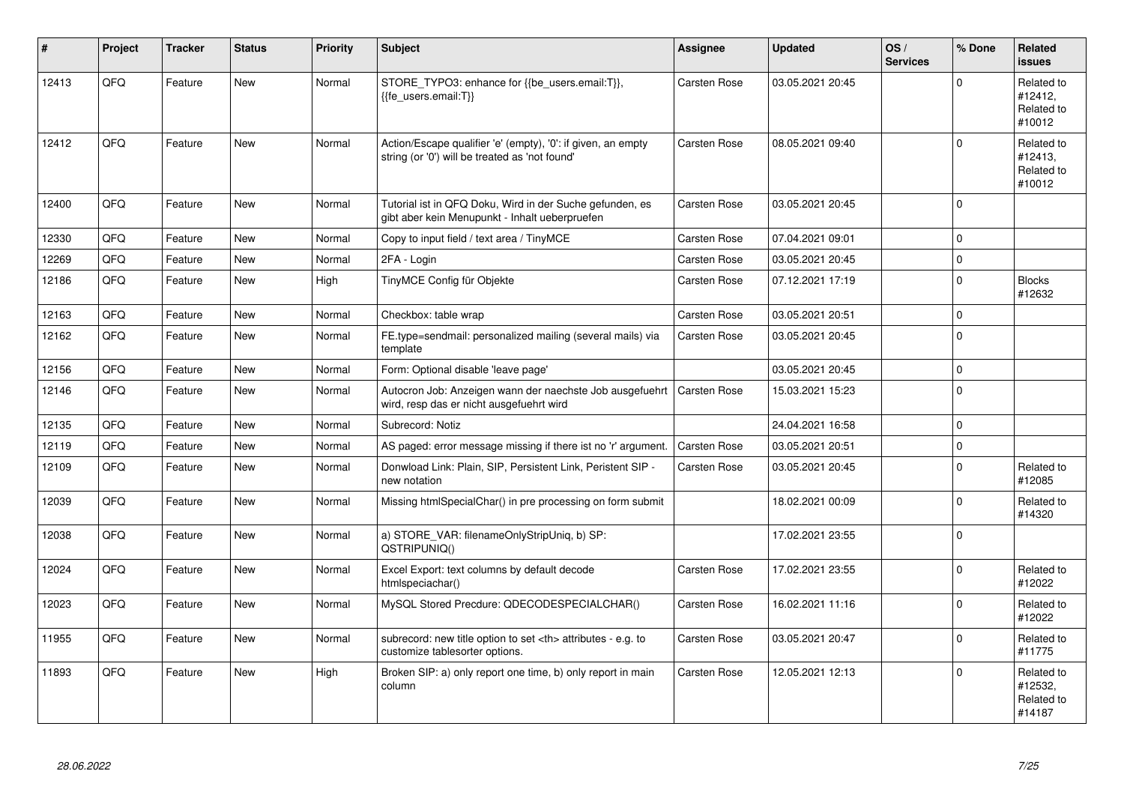| #     | Project | <b>Tracker</b> | <b>Status</b> | <b>Priority</b> | <b>Subject</b>                                                                                                 | <b>Assignee</b>                                        | <b>Updated</b>   | OS/<br><b>Services</b> | % Done   | Related<br><b>issues</b>                      |                      |
|-------|---------|----------------|---------------|-----------------|----------------------------------------------------------------------------------------------------------------|--------------------------------------------------------|------------------|------------------------|----------|-----------------------------------------------|----------------------|
| 12413 | QFQ     | Feature        | <b>New</b>    | Normal          | STORE_TYPO3: enhance for {{be_users.email:T}},<br>{{fe users.email:T}}                                         | <b>Carsten Rose</b>                                    | 03.05.2021 20:45 |                        | $\Omega$ | Related to<br>#12412,<br>Related to<br>#10012 |                      |
| 12412 | QFQ     | Feature        | <b>New</b>    | Normal          | Action/Escape qualifier 'e' (empty), '0': if given, an empty<br>string (or '0') will be treated as 'not found' | Carsten Rose                                           | 08.05.2021 09:40 |                        | $\Omega$ | Related to<br>#12413.<br>Related to<br>#10012 |                      |
| 12400 | QFQ     | Feature        | <b>New</b>    | Normal          | Tutorial ist in QFQ Doku, Wird in der Suche gefunden, es<br>gibt aber kein Menupunkt - Inhalt ueberpruefen     | Carsten Rose                                           | 03.05.2021 20:45 |                        | $\Omega$ |                                               |                      |
| 12330 | QFQ     | Feature        | <b>New</b>    | Normal          | Copy to input field / text area / TinyMCE                                                                      | Carsten Rose                                           | 07.04.2021 09:01 |                        | $\Omega$ |                                               |                      |
| 12269 | QFQ     | Feature        | <b>New</b>    | Normal          | 2FA - Login                                                                                                    | Carsten Rose                                           | 03.05.2021 20:45 |                        | $\Omega$ |                                               |                      |
| 12186 | QFQ     | Feature        | New           | High            | TinyMCE Config für Objekte                                                                                     | Carsten Rose                                           | 07.12.2021 17:19 |                        | $\Omega$ | <b>Blocks</b><br>#12632                       |                      |
| 12163 | QFQ     | Feature        | <b>New</b>    | Normal          | Checkbox: table wrap                                                                                           | Carsten Rose                                           | 03.05.2021 20:51 |                        | $\Omega$ |                                               |                      |
| 12162 | QFQ     | Feature        | New           | Normal          | FE.type=sendmail: personalized mailing (several mails) via<br>template                                         | Carsten Rose                                           | 03.05.2021 20:45 |                        | $\Omega$ |                                               |                      |
| 12156 | QFQ     | Feature        | <b>New</b>    | Normal          | Form: Optional disable 'leave page'                                                                            |                                                        | 03.05.2021 20:45 |                        | $\Omega$ |                                               |                      |
| 12146 | QFQ     | Feature        | <b>New</b>    | Normal          | Autocron Job: Anzeigen wann der naechste Job ausgefuehrt<br>wird, resp das er nicht ausgefuehrt wird           | Carsten Rose                                           | 15.03.2021 15:23 |                        | $\Omega$ |                                               |                      |
| 12135 | QFQ     | Feature        | New           | Normal          | Subrecord: Notiz                                                                                               |                                                        | 24.04.2021 16:58 |                        | $\Omega$ |                                               |                      |
| 12119 | QFQ     | Feature        | <b>New</b>    | Normal          | AS paged: error message missing if there ist no 'r' argument.                                                  | Carsten Rose                                           | 03.05.2021 20:51 |                        | 0        |                                               |                      |
| 12109 | QFQ     | Feature        | <b>New</b>    | Normal          | Donwload Link: Plain, SIP, Persistent Link, Peristent SIP -<br>new notation                                    | Carsten Rose                                           | 03.05.2021 20:45 |                        | $\Omega$ | Related to<br>#12085                          |                      |
| 12039 | QFQ     | Feature        | <b>New</b>    | Normal          | Missing htmlSpecialChar() in pre processing on form submit                                                     |                                                        | 18.02.2021 00:09 |                        | $\Omega$ | Related to<br>#14320                          |                      |
| 12038 | QFQ     | Feature        | <b>New</b>    | Normal          | a) STORE_VAR: filenameOnlyStripUniq, b) SP:<br>QSTRIPUNIQ()                                                    |                                                        | 17.02.2021 23:55 |                        | $\Omega$ |                                               |                      |
| 12024 | QFQ     | Feature        | <b>New</b>    | Normal          | Excel Export: text columns by default decode<br>htmlspeciachar()                                               | <b>Carsten Rose</b>                                    | 17.02.2021 23:55 |                        | $\Omega$ | Related to<br>#12022                          |                      |
| 12023 | QFQ     | Feature        | New           | Normal          | MySQL Stored Precdure: QDECODESPECIALCHAR()                                                                    | <b>Carsten Rose</b>                                    | 16.02.2021 11:16 |                        | $\Omega$ | Related to<br>#12022                          |                      |
| 11955 | QFQ     | Feature        | New           | Normal          | subrecord: new title option to set <th> attributes - e.g. to<br/>customize tablesorter options.</th>           | attributes - e.g. to<br>customize tablesorter options. | Carsten Rose     | 03.05.2021 20:47       |          | $\Omega$                                      | Related to<br>#11775 |
| 11893 | QFQ     | Feature        | New           | High            | Broken SIP: a) only report one time, b) only report in main<br>column                                          | Carsten Rose                                           | 12.05.2021 12:13 |                        | $\Omega$ | Related to<br>#12532,<br>Related to<br>#14187 |                      |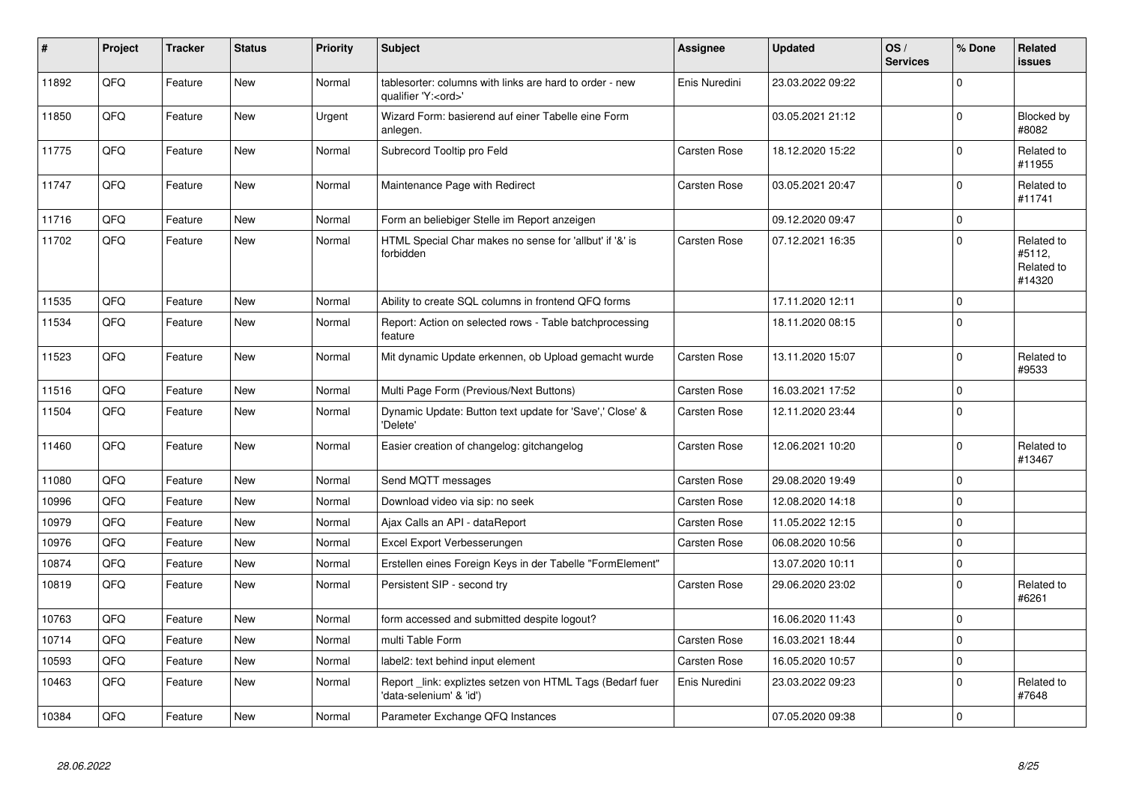| #     | Project | <b>Tracker</b> | <b>Status</b> | <b>Priority</b> | <b>Subject</b>                                                                        | <b>Assignee</b>     | <b>Updated</b>   | OS/<br><b>Services</b> | % Done      | Related<br><b>issues</b>                     |
|-------|---------|----------------|---------------|-----------------|---------------------------------------------------------------------------------------|---------------------|------------------|------------------------|-------------|----------------------------------------------|
| 11892 | QFQ     | Feature        | <b>New</b>    | Normal          | tablesorter: columns with links are hard to order - new<br>qualifier 'Y: <ord>'</ord> | Enis Nuredini       | 23.03.2022 09:22 |                        | $\Omega$    |                                              |
| 11850 | QFQ     | Feature        | <b>New</b>    | Urgent          | Wizard Form: basierend auf einer Tabelle eine Form<br>anlegen.                        |                     | 03.05.2021 21:12 |                        | $\Omega$    | Blocked by<br>#8082                          |
| 11775 | QFQ     | Feature        | <b>New</b>    | Normal          | Subrecord Tooltip pro Feld                                                            | Carsten Rose        | 18.12.2020 15:22 |                        | $\mathbf 0$ | Related to<br>#11955                         |
| 11747 | QFQ     | Feature        | <b>New</b>    | Normal          | Maintenance Page with Redirect                                                        | Carsten Rose        | 03.05.2021 20:47 |                        | $\Omega$    | Related to<br>#11741                         |
| 11716 | QFQ     | Feature        | <b>New</b>    | Normal          | Form an beliebiger Stelle im Report anzeigen                                          |                     | 09.12.2020 09:47 |                        | $\mathbf 0$ |                                              |
| 11702 | QFQ     | Feature        | New           | Normal          | HTML Special Char makes no sense for 'allbut' if '&' is<br>forbidden                  | Carsten Rose        | 07.12.2021 16:35 |                        | $\mathbf 0$ | Related to<br>#5112,<br>Related to<br>#14320 |
| 11535 | QFQ     | Feature        | <b>New</b>    | Normal          | Ability to create SQL columns in frontend QFQ forms                                   |                     | 17.11.2020 12:11 |                        | $\mathbf 0$ |                                              |
| 11534 | QFQ     | Feature        | New           | Normal          | Report: Action on selected rows - Table batchprocessing<br>feature                    |                     | 18.11.2020 08:15 |                        | $\Omega$    |                                              |
| 11523 | QFQ     | Feature        | <b>New</b>    | Normal          | Mit dynamic Update erkennen, ob Upload gemacht wurde                                  | <b>Carsten Rose</b> | 13.11.2020 15:07 |                        | $\mathbf 0$ | Related to<br>#9533                          |
| 11516 | QFQ     | Feature        | <b>New</b>    | Normal          | Multi Page Form (Previous/Next Buttons)                                               | <b>Carsten Rose</b> | 16.03.2021 17:52 |                        | $\mathbf 0$ |                                              |
| 11504 | QFQ     | Feature        | <b>New</b>    | Normal          | Dynamic Update: Button text update for 'Save',' Close' &<br>'Delete'                  | Carsten Rose        | 12.11.2020 23:44 |                        | $\Omega$    |                                              |
| 11460 | QFQ     | Feature        | <b>New</b>    | Normal          | Easier creation of changelog: gitchangelog                                            | Carsten Rose        | 12.06.2021 10:20 |                        | $\Omega$    | Related to<br>#13467                         |
| 11080 | QFQ     | Feature        | <b>New</b>    | Normal          | Send MQTT messages                                                                    | <b>Carsten Rose</b> | 29.08.2020 19:49 |                        | $\Omega$    |                                              |
| 10996 | QFQ     | Feature        | <b>New</b>    | Normal          | Download video via sip: no seek                                                       | Carsten Rose        | 12.08.2020 14:18 |                        | $\mathbf 0$ |                                              |
| 10979 | QFQ     | Feature        | <b>New</b>    | Normal          | Ajax Calls an API - dataReport                                                        | <b>Carsten Rose</b> | 11.05.2022 12:15 |                        | $\mathbf 0$ |                                              |
| 10976 | QFQ     | Feature        | New           | Normal          | Excel Export Verbesserungen                                                           | Carsten Rose        | 06.08.2020 10:56 |                        | $\mathbf 0$ |                                              |
| 10874 | QFQ     | Feature        | New           | Normal          | Erstellen eines Foreign Keys in der Tabelle "FormElement"                             |                     | 13.07.2020 10:11 |                        | $\mathbf 0$ |                                              |
| 10819 | QFQ     | Feature        | <b>New</b>    | Normal          | Persistent SIP - second try                                                           | <b>Carsten Rose</b> | 29.06.2020 23:02 |                        | $\mathbf 0$ | Related to<br>#6261                          |
| 10763 | QFQ     | Feature        | New           | Normal          | form accessed and submitted despite logout?                                           |                     | 16.06.2020 11:43 |                        | $\Omega$    |                                              |
| 10714 | QFQ     | Feature        | New           | Normal          | multi Table Form                                                                      | <b>Carsten Rose</b> | 16.03.2021 18:44 |                        | $\mathbf 0$ |                                              |
| 10593 | QFQ     | Feature        | New           | Normal          | label2: text behind input element                                                     | Carsten Rose        | 16.05.2020 10:57 |                        | $\mathbf 0$ |                                              |
| 10463 | QFQ     | Feature        | New           | Normal          | Report _link: expliztes setzen von HTML Tags (Bedarf fuer<br>'data-selenium' & 'id')  | Enis Nuredini       | 23.03.2022 09:23 |                        | $\mathbf 0$ | Related to<br>#7648                          |
| 10384 | QFQ     | Feature        | New           | Normal          | Parameter Exchange QFQ Instances                                                      |                     | 07.05.2020 09:38 |                        | $\mathbf 0$ |                                              |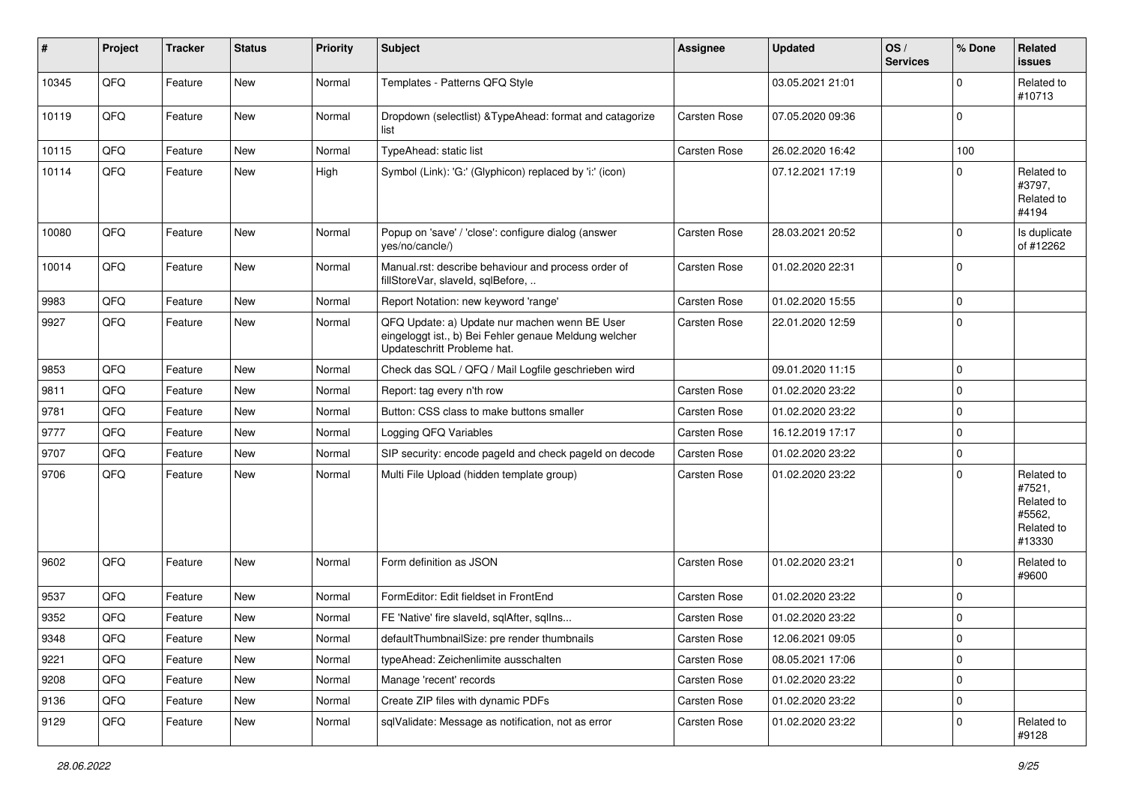| ∦     | Project        | <b>Tracker</b> | <b>Status</b> | <b>Priority</b> | <b>Subject</b>                                                                                                                        | <b>Assignee</b> | <b>Updated</b>   | OS/<br><b>Services</b> | % Done      | Related<br><b>issues</b>                                             |
|-------|----------------|----------------|---------------|-----------------|---------------------------------------------------------------------------------------------------------------------------------------|-----------------|------------------|------------------------|-------------|----------------------------------------------------------------------|
| 10345 | QFQ            | Feature        | <b>New</b>    | Normal          | Templates - Patterns QFQ Style                                                                                                        |                 | 03.05.2021 21:01 |                        | $\Omega$    | Related to<br>#10713                                                 |
| 10119 | QFQ            | Feature        | New           | Normal          | Dropdown (selectlist) & TypeAhead: format and catagorize<br>list                                                                      | Carsten Rose    | 07.05.2020 09:36 |                        | $\Omega$    |                                                                      |
| 10115 | QFQ            | Feature        | <b>New</b>    | Normal          | TypeAhead: static list                                                                                                                | Carsten Rose    | 26.02.2020 16:42 |                        | 100         |                                                                      |
| 10114 | QFQ            | Feature        | New           | High            | Symbol (Link): 'G:' (Glyphicon) replaced by 'i:' (icon)                                                                               |                 | 07.12.2021 17:19 |                        | $\Omega$    | Related to<br>#3797,<br>Related to<br>#4194                          |
| 10080 | QFQ            | Feature        | <b>New</b>    | Normal          | Popup on 'save' / 'close': configure dialog (answer<br>yes/no/cancle/)                                                                | Carsten Rose    | 28.03.2021 20:52 |                        | $\Omega$    | Is duplicate<br>of #12262                                            |
| 10014 | QFQ            | Feature        | New           | Normal          | Manual.rst: describe behaviour and process order of<br>fillStoreVar, slaveId, sqlBefore,                                              | Carsten Rose    | 01.02.2020 22:31 |                        | $\Omega$    |                                                                      |
| 9983  | QFQ            | Feature        | <b>New</b>    | Normal          | Report Notation: new keyword 'range'                                                                                                  | Carsten Rose    | 01.02.2020 15:55 |                        | $\mathbf 0$ |                                                                      |
| 9927  | QFQ            | Feature        | <b>New</b>    | Normal          | QFQ Update: a) Update nur machen wenn BE User<br>eingeloggt ist., b) Bei Fehler genaue Meldung welcher<br>Updateschritt Probleme hat. | Carsten Rose    | 22.01.2020 12:59 |                        | $\Omega$    |                                                                      |
| 9853  | QFQ            | Feature        | <b>New</b>    | Normal          | Check das SQL / QFQ / Mail Logfile geschrieben wird                                                                                   |                 | 09.01.2020 11:15 |                        | $\mathbf 0$ |                                                                      |
| 9811  | QFQ            | Feature        | <b>New</b>    | Normal          | Report: tag every n'th row                                                                                                            | Carsten Rose    | 01.02.2020 23:22 |                        | $\mathbf 0$ |                                                                      |
| 9781  | QFQ            | Feature        | <b>New</b>    | Normal          | Button: CSS class to make buttons smaller                                                                                             | Carsten Rose    | 01.02.2020 23:22 |                        | $\Omega$    |                                                                      |
| 9777  | QFQ            | Feature        | New           | Normal          | Logging QFQ Variables                                                                                                                 | Carsten Rose    | 16.12.2019 17:17 |                        | $\mathbf 0$ |                                                                      |
| 9707  | QFQ            | Feature        | <b>New</b>    | Normal          | SIP security: encode pageld and check pageld on decode                                                                                | Carsten Rose    | 01.02.2020 23:22 |                        | $\mathbf 0$ |                                                                      |
| 9706  | QFQ            | Feature        | <b>New</b>    | Normal          | Multi File Upload (hidden template group)                                                                                             | Carsten Rose    | 01.02.2020 23:22 |                        | $\Omega$    | Related to<br>#7521,<br>Related to<br>#5562,<br>Related to<br>#13330 |
| 9602  | QFQ            | Feature        | New           | Normal          | Form definition as JSON                                                                                                               | Carsten Rose    | 01.02.2020 23:21 |                        | $\Omega$    | Related to<br>#9600                                                  |
| 9537  | QFQ            | Feature        | New           | Normal          | FormEditor: Edit fieldset in FrontEnd                                                                                                 | Carsten Rose    | 01.02.2020 23:22 |                        | $\Omega$    |                                                                      |
| 9352  | QFQ            | Feature        | <b>New</b>    | Normal          | FE 'Native' fire slaveld, sqlAfter, sqlIns                                                                                            | Carsten Rose    | 01.02.2020 23:22 |                        | $\mathbf 0$ |                                                                      |
| 9348  | $\mathsf{QFQ}$ | Feature        | New           | Normal          | defaultThumbnailSize: pre render thumbnails                                                                                           | Carsten Rose    | 12.06.2021 09:05 |                        | 0           |                                                                      |
| 9221  | QFQ            | Feature        | <b>New</b>    | Normal          | typeAhead: Zeichenlimite ausschalten                                                                                                  | Carsten Rose    | 08.05.2021 17:06 |                        | $\mathbf 0$ |                                                                      |
| 9208  | QFQ            | Feature        | New           | Normal          | Manage 'recent' records                                                                                                               | Carsten Rose    | 01.02.2020 23:22 |                        | $\pmb{0}$   |                                                                      |
| 9136  | QFQ            | Feature        | New           | Normal          | Create ZIP files with dynamic PDFs                                                                                                    | Carsten Rose    | 01.02.2020 23:22 |                        | 0           |                                                                      |
| 9129  | QFQ            | Feature        | New           | Normal          | sqlValidate: Message as notification, not as error                                                                                    | Carsten Rose    | 01.02.2020 23:22 |                        | $\mathbf 0$ | Related to<br>#9128                                                  |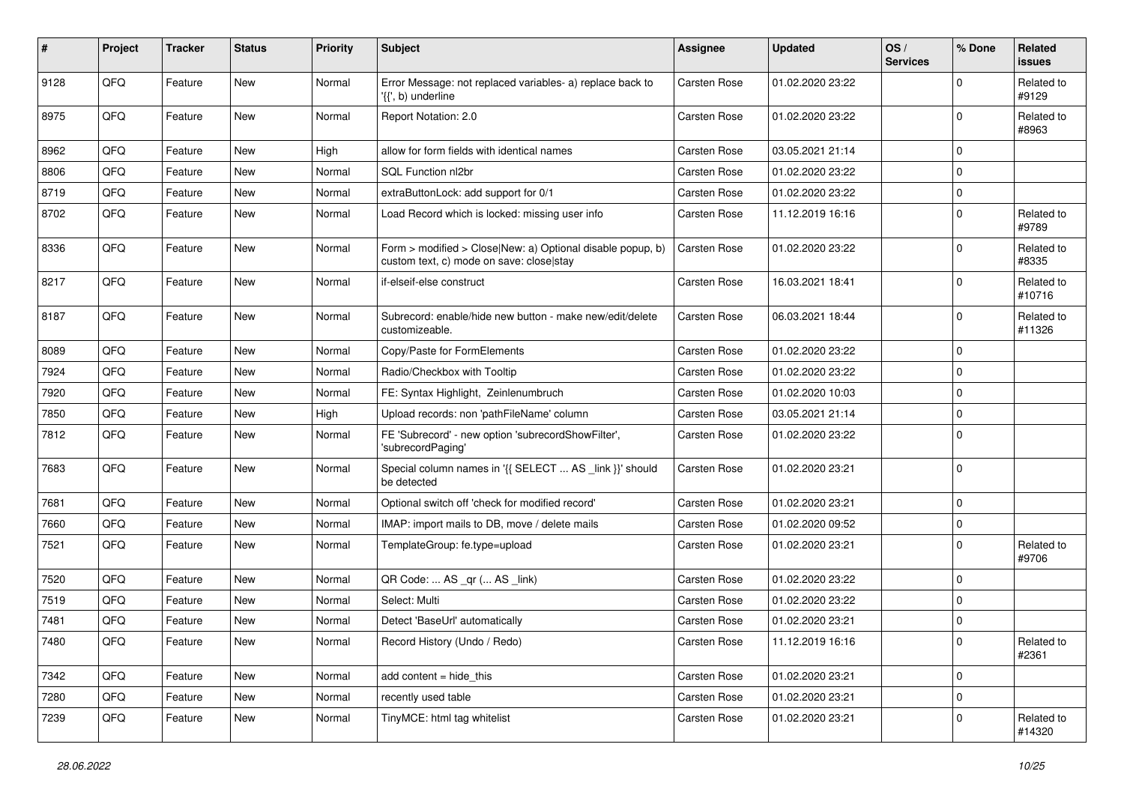| $\vert$ # | Project | <b>Tracker</b> | <b>Status</b> | <b>Priority</b> | <b>Subject</b>                                                                                         | Assignee            | <b>Updated</b>   | OS/<br><b>Services</b> | % Done      | <b>Related</b><br><b>issues</b> |
|-----------|---------|----------------|---------------|-----------------|--------------------------------------------------------------------------------------------------------|---------------------|------------------|------------------------|-------------|---------------------------------|
| 9128      | QFQ     | Feature        | New           | Normal          | Error Message: not replaced variables- a) replace back to<br>'{{', b) underline                        | Carsten Rose        | 01.02.2020 23:22 |                        | $\mathbf 0$ | Related to<br>#9129             |
| 8975      | QFQ     | Feature        | New           | Normal          | Report Notation: 2.0                                                                                   | Carsten Rose        | 01.02.2020 23:22 |                        | $\Omega$    | Related to<br>#8963             |
| 8962      | QFQ     | Feature        | <b>New</b>    | High            | allow for form fields with identical names                                                             | Carsten Rose        | 03.05.2021 21:14 |                        | $\mathbf 0$ |                                 |
| 8806      | QFQ     | Feature        | New           | Normal          | SQL Function nl2br                                                                                     | Carsten Rose        | 01.02.2020 23:22 |                        | $\mathbf 0$ |                                 |
| 8719      | QFQ     | Feature        | New           | Normal          | extraButtonLock: add support for 0/1                                                                   | Carsten Rose        | 01.02.2020 23:22 |                        | $\mathbf 0$ |                                 |
| 8702      | QFQ     | Feature        | New           | Normal          | Load Record which is locked: missing user info                                                         | Carsten Rose        | 11.12.2019 16:16 |                        | 0           | Related to<br>#9789             |
| 8336      | QFQ     | Feature        | New           | Normal          | Form > modified > Close New: a) Optional disable popup, b)<br>custom text, c) mode on save: close stay | Carsten Rose        | 01.02.2020 23:22 |                        | $\mathbf 0$ | Related to<br>#8335             |
| 8217      | QFQ     | Feature        | New           | Normal          | if-elseif-else construct                                                                               | Carsten Rose        | 16.03.2021 18:41 |                        | $\mathbf 0$ | Related to<br>#10716            |
| 8187      | QFQ     | Feature        | New           | Normal          | Subrecord: enable/hide new button - make new/edit/delete<br>customizeable.                             | Carsten Rose        | 06.03.2021 18:44 |                        | $\mathbf 0$ | Related to<br>#11326            |
| 8089      | QFQ     | Feature        | New           | Normal          | Copy/Paste for FormElements                                                                            | Carsten Rose        | 01.02.2020 23:22 |                        | $\mathbf 0$ |                                 |
| 7924      | QFQ     | Feature        | New           | Normal          | Radio/Checkbox with Tooltip                                                                            | Carsten Rose        | 01.02.2020 23:22 |                        | $\mathbf 0$ |                                 |
| 7920      | QFQ     | Feature        | New           | Normal          | FE: Syntax Highlight, Zeinlenumbruch                                                                   | Carsten Rose        | 01.02.2020 10:03 |                        | $\mathbf 0$ |                                 |
| 7850      | QFQ     | Feature        | New           | High            | Upload records: non 'pathFileName' column                                                              | Carsten Rose        | 03.05.2021 21:14 |                        | $\mathbf 0$ |                                 |
| 7812      | QFQ     | Feature        | New           | Normal          | FE 'Subrecord' - new option 'subrecordShowFilter',<br>'subrecordPaging'                                | <b>Carsten Rose</b> | 01.02.2020 23:22 |                        | $\mathbf 0$ |                                 |
| 7683      | QFQ     | Feature        | New           | Normal          | Special column names in '{{ SELECT  AS _link }}' should<br>be detected                                 | Carsten Rose        | 01.02.2020 23:21 |                        | $\mathbf 0$ |                                 |
| 7681      | QFQ     | Feature        | <b>New</b>    | Normal          | Optional switch off 'check for modified record'                                                        | Carsten Rose        | 01.02.2020 23:21 |                        | $\mathbf 0$ |                                 |
| 7660      | QFQ     | Feature        | New           | Normal          | IMAP: import mails to DB, move / delete mails                                                          | Carsten Rose        | 01.02.2020 09:52 |                        | $\mathbf 0$ |                                 |
| 7521      | QFQ     | Feature        | New           | Normal          | TemplateGroup: fe.type=upload                                                                          | <b>Carsten Rose</b> | 01.02.2020 23:21 |                        | $\mathbf 0$ | Related to<br>#9706             |
| 7520      | QFQ     | Feature        | New           | Normal          | QR Code:  AS _qr ( AS _link)                                                                           | Carsten Rose        | 01.02.2020 23:22 |                        | $\mathbf 0$ |                                 |
| 7519      | QFQ     | Feature        | New           | Normal          | Select: Multi                                                                                          | Carsten Rose        | 01.02.2020 23:22 |                        | 0           |                                 |
| 7481      | QFQ     | Feature        | New           | Normal          | Detect 'BaseUrl' automatically                                                                         | Carsten Rose        | 01.02.2020 23:21 |                        | $\mathbf 0$ |                                 |
| 7480      | QFQ     | Feature        | New           | Normal          | Record History (Undo / Redo)                                                                           | <b>Carsten Rose</b> | 11.12.2019 16:16 |                        | 0           | Related to<br>#2361             |
| 7342      | QFQ     | Feature        | New           | Normal          | add content $=$ hide this                                                                              | Carsten Rose        | 01.02.2020 23:21 |                        | $\mathbf 0$ |                                 |
| 7280      | QFQ     | Feature        | New           | Normal          | recently used table                                                                                    | Carsten Rose        | 01.02.2020 23:21 |                        | $\mathbf 0$ |                                 |
| 7239      | QFQ     | Feature        | New           | Normal          | TinyMCE: html tag whitelist                                                                            | Carsten Rose        | 01.02.2020 23:21 |                        | $\Omega$    | Related to<br>#14320            |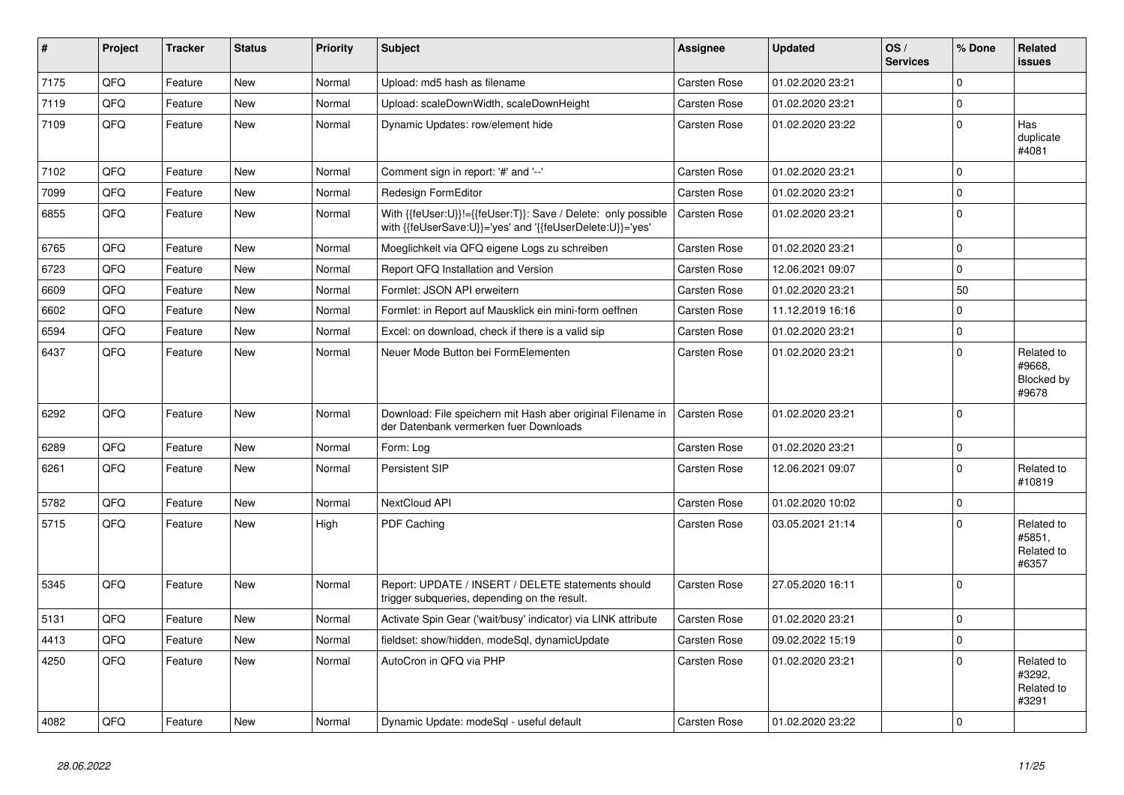| $\vert$ # | Project | <b>Tracker</b> | <b>Status</b> | <b>Priority</b> | <b>Subject</b>                                                                                                             | Assignee     | <b>Updated</b>   | OS/<br><b>Services</b> | % Done   | Related<br><b>issues</b>                    |
|-----------|---------|----------------|---------------|-----------------|----------------------------------------------------------------------------------------------------------------------------|--------------|------------------|------------------------|----------|---------------------------------------------|
| 7175      | QFQ     | Feature        | <b>New</b>    | Normal          | Upload: md5 hash as filename                                                                                               | Carsten Rose | 01.02.2020 23:21 |                        | $\Omega$ |                                             |
| 7119      | QFQ     | Feature        | <b>New</b>    | Normal          | Upload: scaleDownWidth, scaleDownHeight                                                                                    | Carsten Rose | 01.02.2020 23:21 |                        | $\Omega$ |                                             |
| 7109      | QFQ     | Feature        | <b>New</b>    | Normal          | Dynamic Updates: row/element hide                                                                                          | Carsten Rose | 01.02.2020 23:22 |                        | $\Omega$ | Has<br>duplicate<br>#4081                   |
| 7102      | QFQ     | Feature        | <b>New</b>    | Normal          | Comment sign in report: '#' and '--'                                                                                       | Carsten Rose | 01.02.2020 23:21 |                        | 0        |                                             |
| 7099      | QFQ     | Feature        | New           | Normal          | Redesign FormEditor                                                                                                        | Carsten Rose | 01.02.2020 23:21 |                        | $\Omega$ |                                             |
| 6855      | QFQ     | Feature        | New           | Normal          | With {{feUser:U}}!={{feUser:T}}: Save / Delete: only possible<br>with {{feUserSave:U}}='yes' and '{{feUserDelete:U}}='yes' | Carsten Rose | 01.02.2020 23:21 |                        | $\Omega$ |                                             |
| 6765      | QFQ     | Feature        | <b>New</b>    | Normal          | Moeglichkeit via QFQ eigene Logs zu schreiben                                                                              | Carsten Rose | 01.02.2020 23:21 |                        | $\Omega$ |                                             |
| 6723      | QFQ     | Feature        | New           | Normal          | Report QFQ Installation and Version                                                                                        | Carsten Rose | 12.06.2021 09:07 |                        | $\Omega$ |                                             |
| 6609      | QFQ     | Feature        | New           | Normal          | Formlet: JSON API erweitern                                                                                                | Carsten Rose | 01.02.2020 23:21 |                        | 50       |                                             |
| 6602      | QFQ     | Feature        | <b>New</b>    | Normal          | Formlet: in Report auf Mausklick ein mini-form oeffnen                                                                     | Carsten Rose | 11.12.2019 16:16 |                        | 0        |                                             |
| 6594      | QFQ     | Feature        | <b>New</b>    | Normal          | Excel: on download, check if there is a valid sip                                                                          | Carsten Rose | 01.02.2020 23:21 |                        | $\Omega$ |                                             |
| 6437      | QFQ     | Feature        | New           | Normal          | Neuer Mode Button bei FormElementen                                                                                        | Carsten Rose | 01.02.2020 23:21 |                        | $\Omega$ | Related to<br>#9668.<br>Blocked by<br>#9678 |
| 6292      | QFQ     | Feature        | <b>New</b>    | Normal          | Download: File speichern mit Hash aber original Filename in<br>der Datenbank vermerken fuer Downloads                      | Carsten Rose | 01.02.2020 23:21 |                        | $\Omega$ |                                             |
| 6289      | QFQ     | Feature        | <b>New</b>    | Normal          | Form: Log                                                                                                                  | Carsten Rose | 01.02.2020 23:21 |                        | $\Omega$ |                                             |
| 6261      | QFQ     | Feature        | New           | Normal          | Persistent SIP                                                                                                             | Carsten Rose | 12.06.2021 09:07 |                        | $\Omega$ | Related to<br>#10819                        |
| 5782      | QFQ     | Feature        | <b>New</b>    | Normal          | NextCloud API                                                                                                              | Carsten Rose | 01.02.2020 10:02 |                        | $\Omega$ |                                             |
| 5715      | QFQ     | Feature        | New           | High            | <b>PDF Caching</b>                                                                                                         | Carsten Rose | 03.05.2021 21:14 |                        | $\Omega$ | Related to<br>#5851,<br>Related to<br>#6357 |
| 5345      | QFQ     | Feature        | <b>New</b>    | Normal          | Report: UPDATE / INSERT / DELETE statements should<br>trigger subqueries, depending on the result.                         | Carsten Rose | 27.05.2020 16:11 |                        | $\Omega$ |                                             |
| 5131      | QFQ     | Feature        | <b>New</b>    | Normal          | Activate Spin Gear ('wait/busy' indicator) via LINK attribute                                                              | Carsten Rose | 01.02.2020 23:21 |                        | $\Omega$ |                                             |
| 4413      | QFQ     | Feature        | New           | Normal          | fieldset: show/hidden, modeSql, dynamicUpdate                                                                              | Carsten Rose | 09.02.2022 15:19 |                        | 0        |                                             |
| 4250      | QFQ     | Feature        | <b>New</b>    | Normal          | AutoCron in QFQ via PHP                                                                                                    | Carsten Rose | 01.02.2020 23:21 |                        | $\Omega$ | Related to<br>#3292,<br>Related to<br>#3291 |
| 4082      | QFQ     | Feature        | New           | Normal          | Dynamic Update: modeSgl - useful default                                                                                   | Carsten Rose | 01.02.2020 23:22 |                        | $\Omega$ |                                             |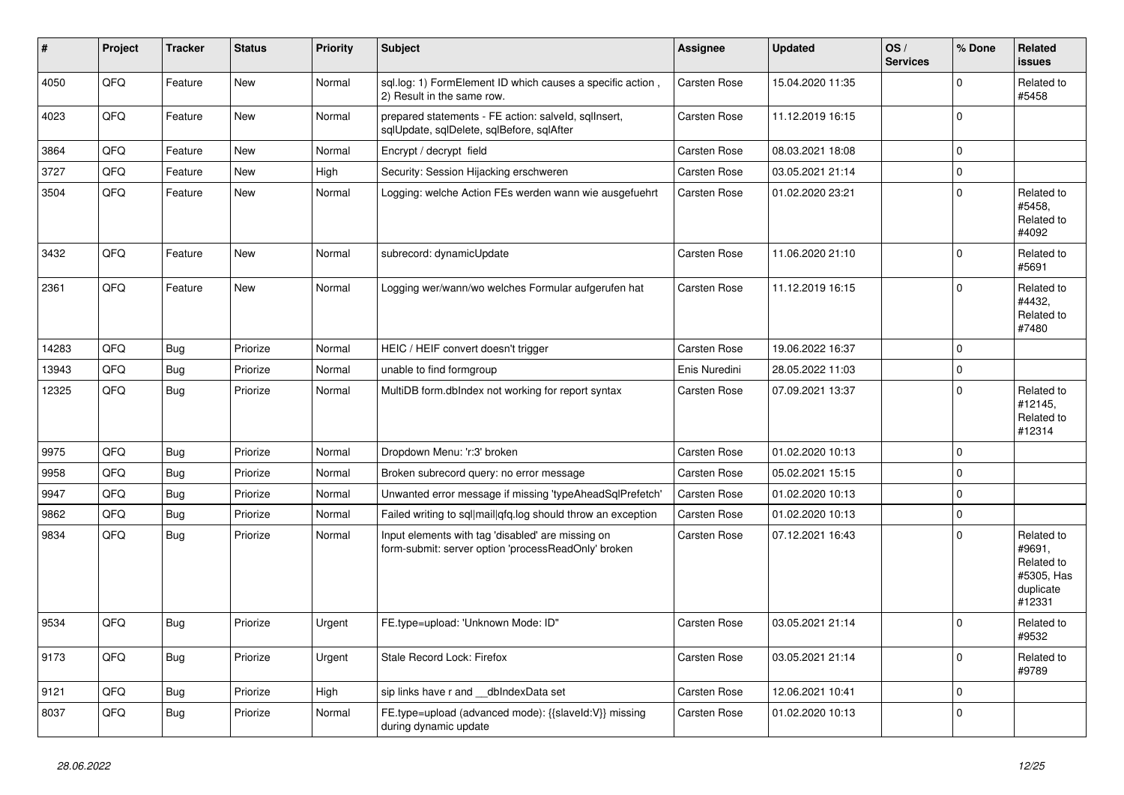| ∥ #   | Project | <b>Tracker</b> | <b>Status</b> | <b>Priority</b> | <b>Subject</b>                                                                                           | <b>Assignee</b>     | <b>Updated</b>   | OS/<br><b>Services</b> | % Done      | Related<br><b>issues</b>                                                |
|-------|---------|----------------|---------------|-----------------|----------------------------------------------------------------------------------------------------------|---------------------|------------------|------------------------|-------------|-------------------------------------------------------------------------|
| 4050  | QFQ     | Feature        | New           | Normal          | sql.log: 1) FormElement ID which causes a specific action,<br>2) Result in the same row.                 | Carsten Rose        | 15.04.2020 11:35 |                        | $\Omega$    | Related to<br>#5458                                                     |
| 4023  | QFQ     | Feature        | <b>New</b>    | Normal          | prepared statements - FE action: salveld, sqlInsert,<br>sqlUpdate, sqlDelete, sqlBefore, sqlAfter        | Carsten Rose        | 11.12.2019 16:15 |                        | $\mathbf 0$ |                                                                         |
| 3864  | QFQ     | Feature        | <b>New</b>    | Normal          | Encrypt / decrypt field                                                                                  | Carsten Rose        | 08.03.2021 18:08 |                        | $\mathbf 0$ |                                                                         |
| 3727  | QFQ     | Feature        | <b>New</b>    | High            | Security: Session Hijacking erschweren                                                                   | Carsten Rose        | 03.05.2021 21:14 |                        | $\mathbf 0$ |                                                                         |
| 3504  | QFQ     | Feature        | <b>New</b>    | Normal          | Logging: welche Action FEs werden wann wie ausgefuehrt                                                   | Carsten Rose        | 01.02.2020 23:21 |                        | $\Omega$    | Related to<br>#5458,<br>Related to<br>#4092                             |
| 3432  | QFQ     | Feature        | <b>New</b>    | Normal          | subrecord: dynamicUpdate                                                                                 | Carsten Rose        | 11.06.2020 21:10 |                        | $\Omega$    | Related to<br>#5691                                                     |
| 2361  | QFQ     | Feature        | <b>New</b>    | Normal          | Logging wer/wann/wo welches Formular aufgerufen hat                                                      | Carsten Rose        | 11.12.2019 16:15 |                        | $\mathbf 0$ | Related to<br>#4432,<br>Related to<br>#7480                             |
| 14283 | QFQ     | Bug            | Priorize      | Normal          | HEIC / HEIF convert doesn't trigger                                                                      | <b>Carsten Rose</b> | 19.06.2022 16:37 |                        | $\Omega$    |                                                                         |
| 13943 | QFQ     | <b>Bug</b>     | Priorize      | Normal          | unable to find formgroup                                                                                 | Enis Nuredini       | 28.05.2022 11:03 |                        | $\Omega$    |                                                                         |
| 12325 | QFQ     | <b>Bug</b>     | Priorize      | Normal          | MultiDB form.dblndex not working for report syntax                                                       | Carsten Rose        | 07.09.2021 13:37 |                        | $\mathbf 0$ | Related to<br>#12145,<br>Related to<br>#12314                           |
| 9975  | QFQ     | Bug            | Priorize      | Normal          | Dropdown Menu: 'r:3' broken                                                                              | Carsten Rose        | 01.02.2020 10:13 |                        | $\pmb{0}$   |                                                                         |
| 9958  | QFQ     | <b>Bug</b>     | Priorize      | Normal          | Broken subrecord query: no error message                                                                 | Carsten Rose        | 05.02.2021 15:15 |                        | $\Omega$    |                                                                         |
| 9947  | QFQ     | <b>Bug</b>     | Priorize      | Normal          | Unwanted error message if missing 'typeAheadSqlPrefetch'                                                 | Carsten Rose        | 01.02.2020 10:13 |                        | $\mathbf 0$ |                                                                         |
| 9862  | QFQ     | <b>Bug</b>     | Priorize      | Normal          | Failed writing to sql mail qfq.log should throw an exception                                             | Carsten Rose        | 01.02.2020 10:13 |                        | $\mathbf 0$ |                                                                         |
| 9834  | QFQ     | <b>Bug</b>     | Priorize      | Normal          | Input elements with tag 'disabled' are missing on<br>form-submit: server option 'processReadOnly' broken | Carsten Rose        | 07.12.2021 16:43 |                        | $\Omega$    | Related to<br>#9691,<br>Related to<br>#5305, Has<br>duplicate<br>#12331 |
| 9534  | QFQ     | Bug            | Priorize      | Urgent          | FE.type=upload: 'Unknown Mode: ID"                                                                       | Carsten Rose        | 03.05.2021 21:14 |                        | $\Omega$    | Related to<br>#9532                                                     |
| 9173  | QFQ     | Bug            | Priorize      | Urgent          | Stale Record Lock: Firefox                                                                               | Carsten Rose        | 03.05.2021 21:14 |                        | $\mathbf 0$ | Related to<br>#9789                                                     |
| 9121  | QFQ     | <b>Bug</b>     | Priorize      | High            | sip links have r and dblndexData set                                                                     | Carsten Rose        | 12.06.2021 10:41 |                        | $\mathbf 0$ |                                                                         |
| 8037  | QFQ     | Bug            | Priorize      | Normal          | FE.type=upload (advanced mode): {{slaveld:V}} missing<br>during dynamic update                           | Carsten Rose        | 01.02.2020 10:13 |                        | $\mathbf 0$ |                                                                         |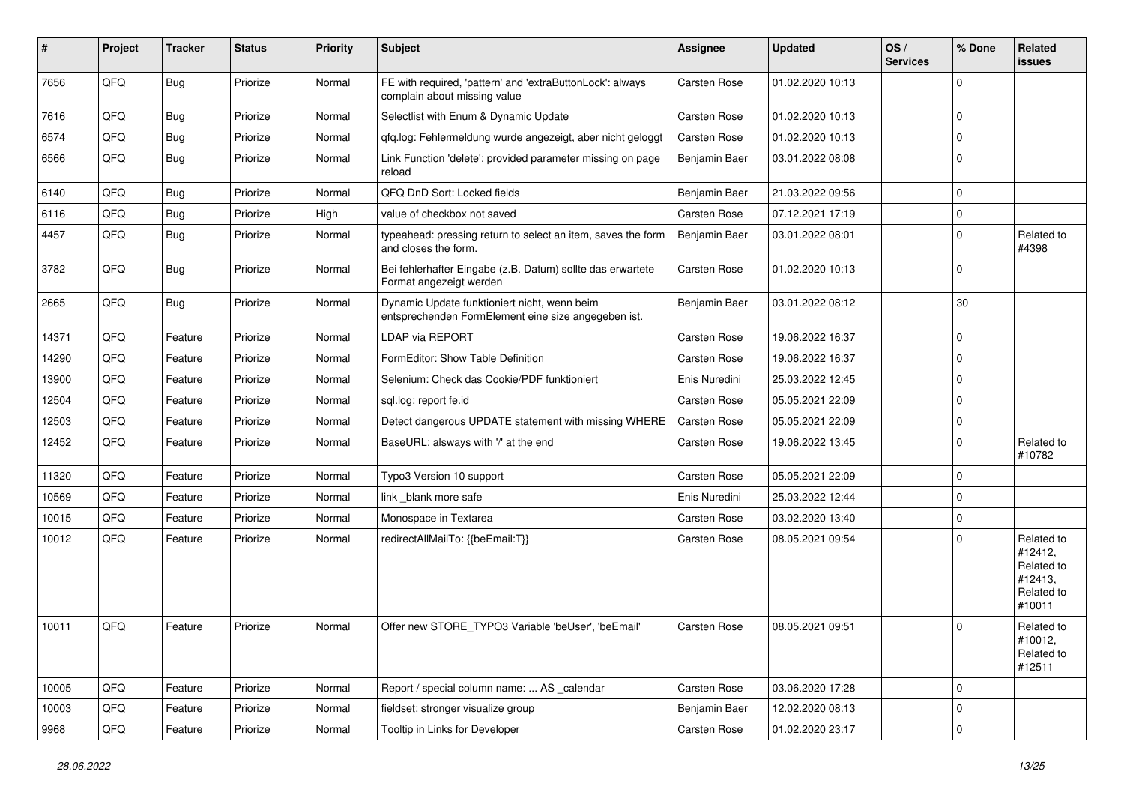| #     | Project | <b>Tracker</b> | <b>Status</b> | <b>Priority</b> | <b>Subject</b>                                                                                      | <b>Assignee</b>     | <b>Updated</b>   | OS/<br><b>Services</b> | % Done      | Related<br><b>issues</b>                                               |
|-------|---------|----------------|---------------|-----------------|-----------------------------------------------------------------------------------------------------|---------------------|------------------|------------------------|-------------|------------------------------------------------------------------------|
| 7656  | QFQ     | Bug            | Priorize      | Normal          | FE with required, 'pattern' and 'extraButtonLock': always<br>complain about missing value           | Carsten Rose        | 01.02.2020 10:13 |                        | $\mathbf 0$ |                                                                        |
| 7616  | QFQ     | Bug            | Priorize      | Normal          | Selectlist with Enum & Dynamic Update                                                               | Carsten Rose        | 01.02.2020 10:13 |                        | $\pmb{0}$   |                                                                        |
| 6574  | QFQ     | Bug            | Priorize      | Normal          | qfq.log: Fehlermeldung wurde angezeigt, aber nicht geloggt                                          | Carsten Rose        | 01.02.2020 10:13 |                        | $\mathbf 0$ |                                                                        |
| 6566  | QFQ     | <b>Bug</b>     | Priorize      | Normal          | Link Function 'delete': provided parameter missing on page<br>reload                                | Benjamin Baer       | 03.01.2022 08:08 |                        | $\mathbf 0$ |                                                                        |
| 6140  | QFQ     | <b>Bug</b>     | Priorize      | Normal          | QFQ DnD Sort: Locked fields                                                                         | Benjamin Baer       | 21.03.2022 09:56 |                        | $\pmb{0}$   |                                                                        |
| 6116  | QFQ     | Bug            | Priorize      | High            | value of checkbox not saved                                                                         | Carsten Rose        | 07.12.2021 17:19 |                        | $\pmb{0}$   |                                                                        |
| 4457  | QFQ     | <b>Bug</b>     | Priorize      | Normal          | typeahead: pressing return to select an item, saves the form<br>and closes the form.                | Benjamin Baer       | 03.01.2022 08:01 |                        | $\mathbf 0$ | Related to<br>#4398                                                    |
| 3782  | QFQ     | Bug            | Priorize      | Normal          | Bei fehlerhafter Eingabe (z.B. Datum) sollte das erwartete<br>Format angezeigt werden               | Carsten Rose        | 01.02.2020 10:13 |                        | $\mathbf 0$ |                                                                        |
| 2665  | QFQ     | <b>Bug</b>     | Priorize      | Normal          | Dynamic Update funktioniert nicht, wenn beim<br>entsprechenden FormElement eine size angegeben ist. | Benjamin Baer       | 03.01.2022 08:12 |                        | 30          |                                                                        |
| 14371 | QFQ     | Feature        | Priorize      | Normal          | <b>LDAP via REPORT</b>                                                                              | Carsten Rose        | 19.06.2022 16:37 |                        | $\mathbf 0$ |                                                                        |
| 14290 | QFQ     | Feature        | Priorize      | Normal          | FormEditor: Show Table Definition                                                                   | <b>Carsten Rose</b> | 19.06.2022 16:37 |                        | $\mathbf 0$ |                                                                        |
| 13900 | QFQ     | Feature        | Priorize      | Normal          | Selenium: Check das Cookie/PDF funktioniert                                                         | Enis Nuredini       | 25.03.2022 12:45 |                        | $\mathbf 0$ |                                                                        |
| 12504 | QFQ     | Feature        | Priorize      | Normal          | sql.log: report fe.id                                                                               | Carsten Rose        | 05.05.2021 22:09 |                        | $\pmb{0}$   |                                                                        |
| 12503 | QFQ     | Feature        | Priorize      | Normal          | Detect dangerous UPDATE statement with missing WHERE                                                | Carsten Rose        | 05.05.2021 22:09 |                        | $\pmb{0}$   |                                                                        |
| 12452 | QFQ     | Feature        | Priorize      | Normal          | BaseURL: alsways with '/' at the end                                                                | <b>Carsten Rose</b> | 19.06.2022 13:45 |                        | $\Omega$    | Related to<br>#10782                                                   |
| 11320 | QFQ     | Feature        | Priorize      | Normal          | Typo3 Version 10 support                                                                            | Carsten Rose        | 05.05.2021 22:09 |                        | $\pmb{0}$   |                                                                        |
| 10569 | QFQ     | Feature        | Priorize      | Normal          | link blank more safe                                                                                | Enis Nuredini       | 25.03.2022 12:44 |                        | $\pmb{0}$   |                                                                        |
| 10015 | QFQ     | Feature        | Priorize      | Normal          | Monospace in Textarea                                                                               | Carsten Rose        | 03.02.2020 13:40 |                        | $\mathbf 0$ |                                                                        |
| 10012 | QFQ     | Feature        | Priorize      | Normal          | redirectAllMailTo: {{beEmail:T}}                                                                    | Carsten Rose        | 08.05.2021 09:54 |                        | $\Omega$    | Related to<br>#12412,<br>Related to<br>#12413,<br>Related to<br>#10011 |
| 10011 | QFQ     | Feature        | Priorize      | Normal          | Offer new STORE_TYPO3 Variable 'beUser', 'beEmail'                                                  | Carsten Rose        | 08.05.2021 09:51 |                        | $\Omega$    | Related to<br>#10012,<br>Related to<br>#12511                          |
| 10005 | QFQ     | Feature        | Priorize      | Normal          | Report / special column name:  AS _calendar                                                         | Carsten Rose        | 03.06.2020 17:28 |                        | $\mathbf 0$ |                                                                        |
| 10003 | QFQ     | Feature        | Priorize      | Normal          | fieldset: stronger visualize group                                                                  | Benjamin Baer       | 12.02.2020 08:13 |                        | $\pmb{0}$   |                                                                        |
| 9968  | QFG     | Feature        | Priorize      | Normal          | Tooltip in Links for Developer                                                                      | Carsten Rose        | 01.02.2020 23:17 |                        | $\pmb{0}$   |                                                                        |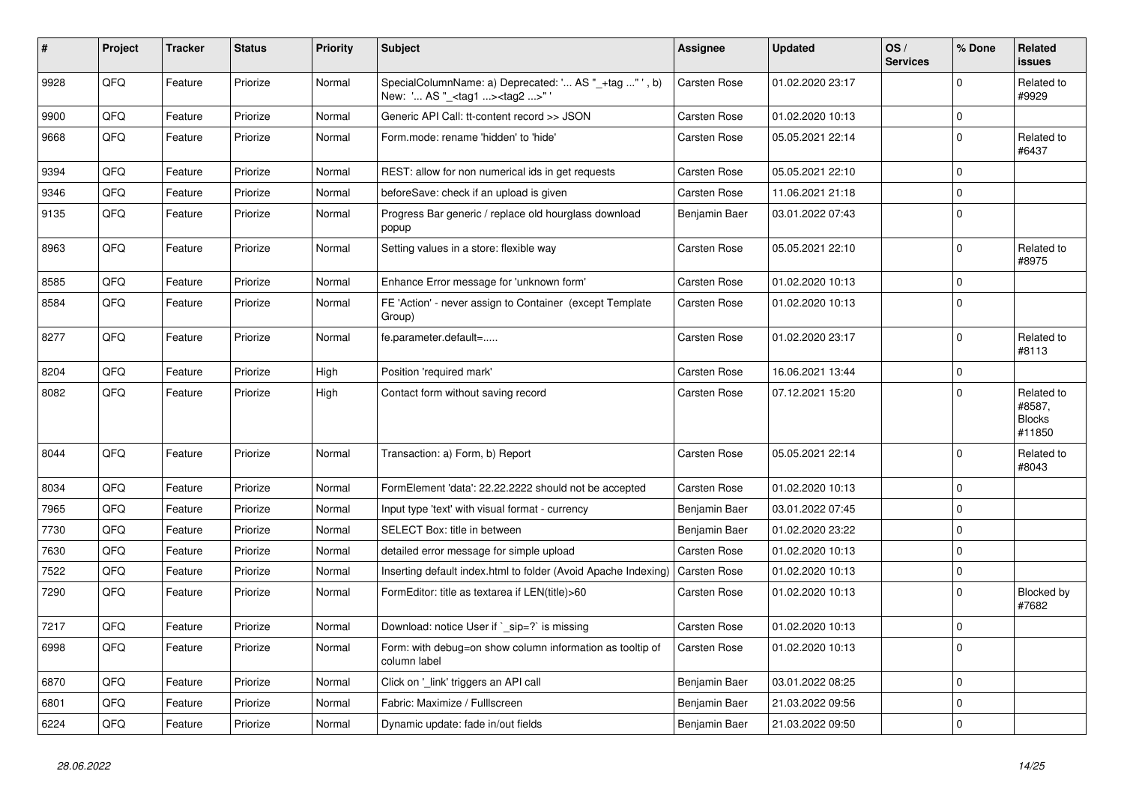| $\vert$ # | Project | <b>Tracker</b> | <b>Status</b> | <b>Priority</b> | <b>Subject</b>                                                                                    | <b>Assignee</b>     | <b>Updated</b>   | OS/<br><b>Services</b> | % Done      | Related<br><b>issues</b>                        |
|-----------|---------|----------------|---------------|-----------------|---------------------------------------------------------------------------------------------------|---------------------|------------------|------------------------|-------------|-------------------------------------------------|
| 9928      | QFQ     | Feature        | Priorize      | Normal          | SpecialColumnName: a) Deprecated: ' AS "_+tag " ', b)<br>New: ' AS "_ <tag1><tag2>"</tag2></tag1> | Carsten Rose        | 01.02.2020 23:17 |                        | $\Omega$    | Related to<br>#9929                             |
| 9900      | QFQ     | Feature        | Priorize      | Normal          | Generic API Call: tt-content record >> JSON                                                       | <b>Carsten Rose</b> | 01.02.2020 10:13 |                        | $\mathbf 0$ |                                                 |
| 9668      | QFQ     | Feature        | Priorize      | Normal          | Form.mode: rename 'hidden' to 'hide'                                                              | Carsten Rose        | 05.05.2021 22:14 |                        | $\mathbf 0$ | Related to<br>#6437                             |
| 9394      | QFQ     | Feature        | Priorize      | Normal          | REST: allow for non numerical ids in get requests                                                 | <b>Carsten Rose</b> | 05.05.2021 22:10 |                        | $\pmb{0}$   |                                                 |
| 9346      | QFQ     | Feature        | Priorize      | Normal          | beforeSave: check if an upload is given                                                           | Carsten Rose        | 11.06.2021 21:18 |                        | $\Omega$    |                                                 |
| 9135      | QFQ     | Feature        | Priorize      | Normal          | Progress Bar generic / replace old hourglass download<br>popup                                    | Benjamin Baer       | 03.01.2022 07:43 |                        | $\mathbf 0$ |                                                 |
| 8963      | QFQ     | Feature        | Priorize      | Normal          | Setting values in a store: flexible way                                                           | Carsten Rose        | 05.05.2021 22:10 |                        | $\mathbf 0$ | Related to<br>#8975                             |
| 8585      | QFQ     | Feature        | Priorize      | Normal          | Enhance Error message for 'unknown form'                                                          | Carsten Rose        | 01.02.2020 10:13 |                        | $\pmb{0}$   |                                                 |
| 8584      | QFQ     | Feature        | Priorize      | Normal          | FE 'Action' - never assign to Container (except Template<br>Group)                                | Carsten Rose        | 01.02.2020 10:13 |                        | $\Omega$    |                                                 |
| 8277      | QFQ     | Feature        | Priorize      | Normal          | fe.parameter.default=                                                                             | Carsten Rose        | 01.02.2020 23:17 |                        | $\mathbf 0$ | Related to<br>#8113                             |
| 8204      | QFQ     | Feature        | Priorize      | High            | Position 'required mark'                                                                          | Carsten Rose        | 16.06.2021 13:44 |                        | $\pmb{0}$   |                                                 |
| 8082      | QFQ     | Feature        | Priorize      | High            | Contact form without saving record                                                                | <b>Carsten Rose</b> | 07.12.2021 15:20 |                        | $\Omega$    | Related to<br>#8587,<br><b>Blocks</b><br>#11850 |
| 8044      | QFQ     | Feature        | Priorize      | Normal          | Transaction: a) Form, b) Report                                                                   | <b>Carsten Rose</b> | 05.05.2021 22:14 |                        | $\Omega$    | Related to<br>#8043                             |
| 8034      | QFQ     | Feature        | Priorize      | Normal          | FormElement 'data': 22.22.2222 should not be accepted                                             | Carsten Rose        | 01.02.2020 10:13 |                        | $\mathbf 0$ |                                                 |
| 7965      | QFQ     | Feature        | Priorize      | Normal          | Input type 'text' with visual format - currency                                                   | Benjamin Baer       | 03.01.2022 07:45 |                        | $\mathbf 0$ |                                                 |
| 7730      | QFQ     | Feature        | Priorize      | Normal          | SELECT Box: title in between                                                                      | Benjamin Baer       | 01.02.2020 23:22 |                        | $\pmb{0}$   |                                                 |
| 7630      | QFQ     | Feature        | Priorize      | Normal          | detailed error message for simple upload                                                          | Carsten Rose        | 01.02.2020 10:13 |                        | $\mathbf 0$ |                                                 |
| 7522      | QFQ     | Feature        | Priorize      | Normal          | Inserting default index.html to folder (Avoid Apache Indexing)                                    | <b>Carsten Rose</b> | 01.02.2020 10:13 |                        | $\mathbf 0$ |                                                 |
| 7290      | QFQ     | Feature        | Priorize      | Normal          | FormEditor: title as textarea if LEN(title)>60                                                    | <b>Carsten Rose</b> | 01.02.2020 10:13 |                        | $\mathbf 0$ | Blocked by<br>#7682                             |
| 7217      | QFQ     | Feature        | Priorize      | Normal          | Download: notice User if ` sip=?` is missing                                                      | Carsten Rose        | 01.02.2020 10:13 |                        | $\pmb{0}$   |                                                 |
| 6998      | QFQ     | Feature        | Priorize      | Normal          | Form: with debug=on show column information as tooltip of<br>column label                         | <b>Carsten Rose</b> | 01.02.2020 10:13 |                        | $\Omega$    |                                                 |
| 6870      | QFQ     | Feature        | Priorize      | Normal          | Click on 'link' triggers an API call                                                              | Benjamin Baer       | 03.01.2022 08:25 |                        | $\mathbf 0$ |                                                 |
| 6801      | QFQ     | Feature        | Priorize      | Normal          | Fabric: Maximize / FullIscreen                                                                    | Benjamin Baer       | 21.03.2022 09:56 |                        | $\mathbf 0$ |                                                 |
| 6224      | QFQ     | Feature        | Priorize      | Normal          | Dynamic update: fade in/out fields                                                                | Benjamin Baer       | 21.03.2022 09:50 |                        | $\mathbf 0$ |                                                 |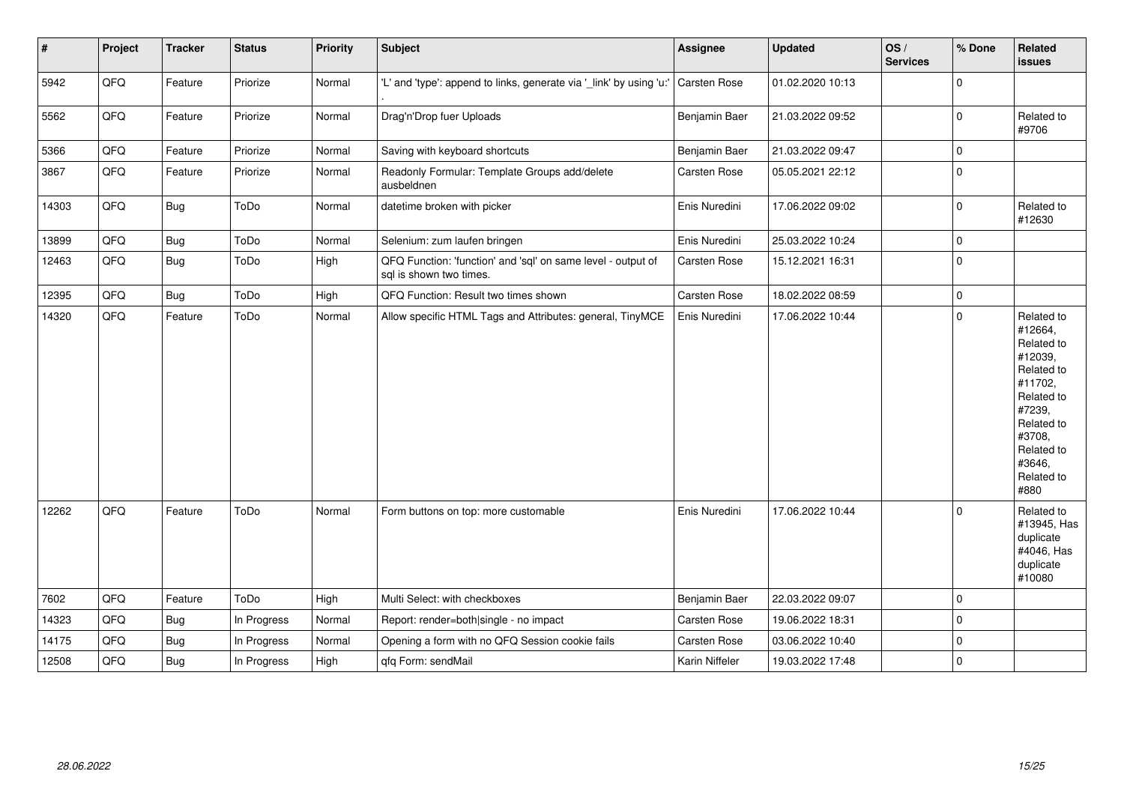| $\sharp$ | Project | <b>Tracker</b> | <b>Status</b> | Priority | <b>Subject</b>                                                                          | Assignee            | <b>Updated</b>   | OS/<br><b>Services</b> | % Done      | Related<br><b>issues</b>                                                                                                                                              |
|----------|---------|----------------|---------------|----------|-----------------------------------------------------------------------------------------|---------------------|------------------|------------------------|-------------|-----------------------------------------------------------------------------------------------------------------------------------------------------------------------|
| 5942     | QFQ     | Feature        | Priorize      | Normal   | 'L' and 'type': append to links, generate via '_link' by using 'u:'                     | Carsten Rose        | 01.02.2020 10:13 |                        | $\mathbf 0$ |                                                                                                                                                                       |
| 5562     | QFQ     | Feature        | Priorize      | Normal   | Drag'n'Drop fuer Uploads                                                                | Benjamin Baer       | 21.03.2022 09:52 |                        | $\mathbf 0$ | Related to<br>#9706                                                                                                                                                   |
| 5366     | QFQ     | Feature        | Priorize      | Normal   | Saving with keyboard shortcuts                                                          | Benjamin Baer       | 21.03.2022 09:47 |                        | $\mathbf 0$ |                                                                                                                                                                       |
| 3867     | QFQ     | Feature        | Priorize      | Normal   | Readonly Formular: Template Groups add/delete<br>ausbeldnen                             | Carsten Rose        | 05.05.2021 22:12 |                        | $\mathbf 0$ |                                                                                                                                                                       |
| 14303    | QFQ     | <b>Bug</b>     | ToDo          | Normal   | datetime broken with picker                                                             | Enis Nuredini       | 17.06.2022 09:02 |                        | $\mathbf 0$ | Related to<br>#12630                                                                                                                                                  |
| 13899    | QFQ     | <b>Bug</b>     | ToDo          | Normal   | Selenium: zum laufen bringen                                                            | Enis Nuredini       | 25.03.2022 10:24 |                        | $\mathsf 0$ |                                                                                                                                                                       |
| 12463    | QFQ     | <b>Bug</b>     | ToDo          | High     | QFQ Function: 'function' and 'sql' on same level - output of<br>sql is shown two times. | <b>Carsten Rose</b> | 15.12.2021 16:31 |                        | $\mathbf 0$ |                                                                                                                                                                       |
| 12395    | QFQ     | <b>Bug</b>     | ToDo          | High     | QFQ Function: Result two times shown                                                    | Carsten Rose        | 18.02.2022 08:59 |                        | $\mathbf 0$ |                                                                                                                                                                       |
| 14320    | QFQ     | Feature        | ToDo          | Normal   | Allow specific HTML Tags and Attributes: general, TinyMCE                               | Enis Nuredini       | 17.06.2022 10:44 |                        | $\mathbf 0$ | Related to<br>#12664,<br>Related to<br>#12039,<br>Related to<br>#11702.<br>Related to<br>#7239,<br>Related to<br>#3708,<br>Related to<br>#3646,<br>Related to<br>#880 |
| 12262    | QFQ     | Feature        | ToDo          | Normal   | Form buttons on top: more customable                                                    | Enis Nuredini       | 17.06.2022 10:44 |                        | $\mathbf 0$ | Related to<br>#13945, Has<br>duplicate<br>#4046, Has<br>duplicate<br>#10080                                                                                           |
| 7602     | QFQ     | Feature        | ToDo          | High     | Multi Select: with checkboxes                                                           | Benjamin Baer       | 22.03.2022 09:07 |                        | $\mathbf 0$ |                                                                                                                                                                       |
| 14323    | QFQ     | <b>Bug</b>     | In Progress   | Normal   | Report: render=both single - no impact                                                  | Carsten Rose        | 19.06.2022 18:31 |                        | $\mathsf 0$ |                                                                                                                                                                       |
| 14175    | QFQ     | Bug            | In Progress   | Normal   | Opening a form with no QFQ Session cookie fails                                         | Carsten Rose        | 03.06.2022 10:40 |                        | $\mathbf 0$ |                                                                                                                                                                       |
| 12508    | QFQ     | <b>Bug</b>     | In Progress   | High     | qfq Form: sendMail                                                                      | Karin Niffeler      | 19.03.2022 17:48 |                        | $\mathbf 0$ |                                                                                                                                                                       |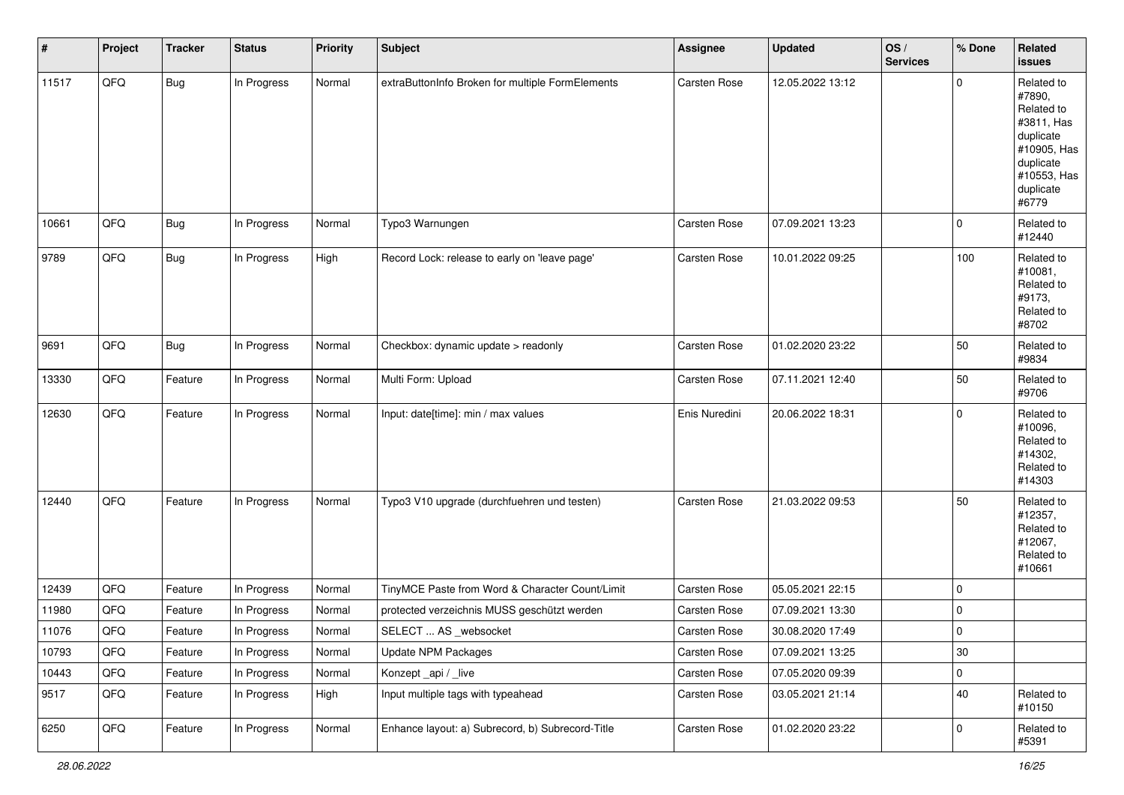| $\vert$ # | Project | <b>Tracker</b> | <b>Status</b> | <b>Priority</b> | <b>Subject</b>                                   | <b>Assignee</b> | <b>Updated</b>   | OS/<br><b>Services</b> | % Done      | Related<br>issues                                                                                                              |
|-----------|---------|----------------|---------------|-----------------|--------------------------------------------------|-----------------|------------------|------------------------|-------------|--------------------------------------------------------------------------------------------------------------------------------|
| 11517     | QFQ     | <b>Bug</b>     | In Progress   | Normal          | extraButtonInfo Broken for multiple FormElements | Carsten Rose    | 12.05.2022 13:12 |                        | $\Omega$    | Related to<br>#7890,<br>Related to<br>#3811, Has<br>duplicate<br>#10905, Has<br>duplicate<br>#10553, Has<br>duplicate<br>#6779 |
| 10661     | QFO     | Bug            | In Progress   | Normal          | Typo3 Warnungen                                  | Carsten Rose    | 07.09.2021 13:23 |                        | $\mathbf 0$ | Related to<br>#12440                                                                                                           |
| 9789      | QFO     | Bug            | In Progress   | High            | Record Lock: release to early on 'leave page'    | Carsten Rose    | 10.01.2022 09:25 |                        | 100         | Related to<br>#10081,<br>Related to<br>#9173,<br>Related to<br>#8702                                                           |
| 9691      | QFQ     | Bug            | In Progress   | Normal          | Checkbox: dynamic update > readonly              | Carsten Rose    | 01.02.2020 23:22 |                        | 50          | Related to<br>#9834                                                                                                            |
| 13330     | QFO     | Feature        | In Progress   | Normal          | Multi Form: Upload                               | Carsten Rose    | 07.11.2021 12:40 |                        | 50          | Related to<br>#9706                                                                                                            |
| 12630     | QFQ     | Feature        | In Progress   | Normal          | Input: date[time]: min / max values              | Enis Nuredini   | 20.06.2022 18:31 |                        | $\mathbf 0$ | Related to<br>#10096,<br>Related to<br>#14302,<br>Related to<br>#14303                                                         |
| 12440     | QFQ     | Feature        | In Progress   | Normal          | Typo3 V10 upgrade (durchfuehren und testen)      | Carsten Rose    | 21.03.2022 09:53 |                        | 50          | Related to<br>#12357,<br>Related to<br>#12067,<br>Related to<br>#10661                                                         |
| 12439     | QFQ     | Feature        | In Progress   | Normal          | TinyMCE Paste from Word & Character Count/Limit  | Carsten Rose    | 05.05.2021 22:15 |                        | $\mathbf 0$ |                                                                                                                                |
| 11980     | QFQ     | Feature        | In Progress   | Normal          | protected verzeichnis MUSS geschützt werden      | Carsten Rose    | 07.09.2021 13:30 |                        | 0           |                                                                                                                                |
| 11076     | QFQ     | Feature        | In Progress   | Normal          | SELECT  AS _websocket                            | Carsten Rose    | 30.08.2020 17:49 |                        | $\mathbf 0$ |                                                                                                                                |
| 10793     | QFQ     | Feature        | In Progress   | Normal          | <b>Update NPM Packages</b>                       | Carsten Rose    | 07.09.2021 13:25 |                        | $30\,$      |                                                                                                                                |
| 10443     | QFQ     | Feature        | In Progress   | Normal          | Konzept_api / _live                              | Carsten Rose    | 07.05.2020 09:39 |                        | 0           |                                                                                                                                |
| 9517      | QFQ     | Feature        | In Progress   | High            | Input multiple tags with typeahead               | Carsten Rose    | 03.05.2021 21:14 |                        | 40          | Related to<br>#10150                                                                                                           |
| 6250      | QFO     | Feature        | In Progress   | Normal          | Enhance layout: a) Subrecord, b) Subrecord-Title | Carsten Rose    | 01.02.2020 23:22 |                        | $\pmb{0}$   | Related to<br>#5391                                                                                                            |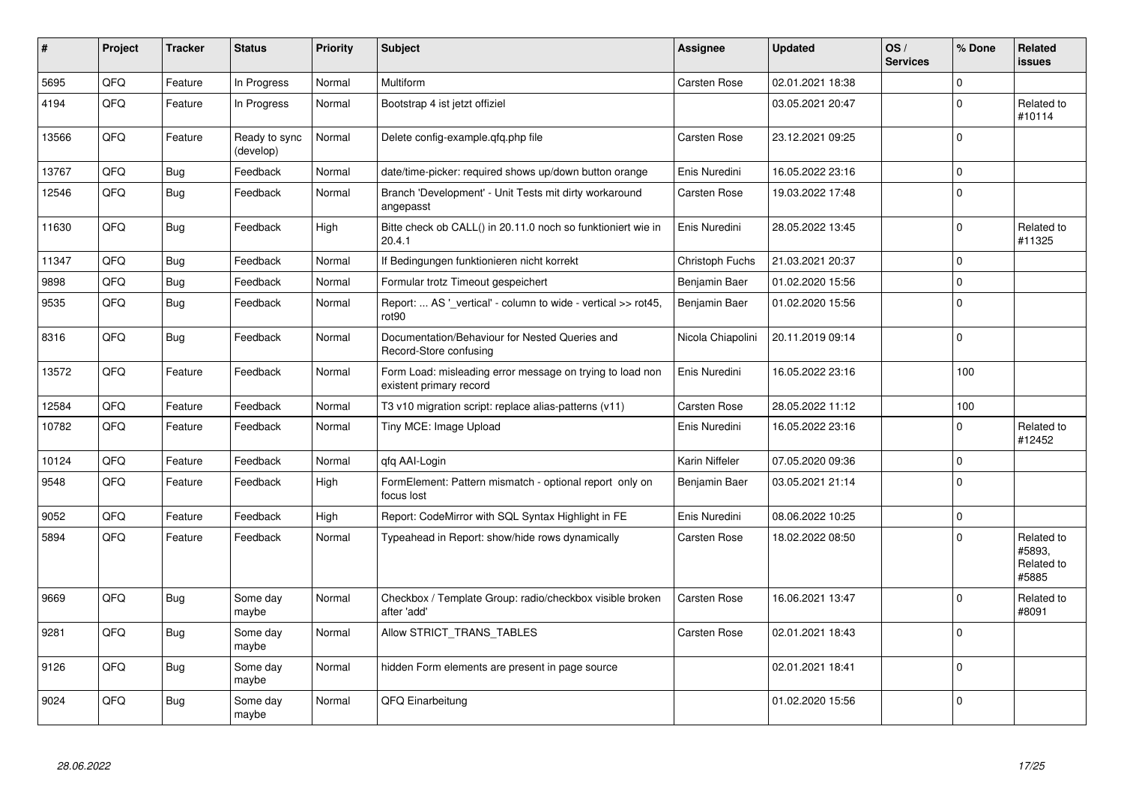| #     | Project | <b>Tracker</b> | <b>Status</b>              | <b>Priority</b> | <b>Subject</b>                                                                       | <b>Assignee</b>     | <b>Updated</b>   | OS/<br><b>Services</b> | % Done      | Related<br><b>issues</b>                    |
|-------|---------|----------------|----------------------------|-----------------|--------------------------------------------------------------------------------------|---------------------|------------------|------------------------|-------------|---------------------------------------------|
| 5695  | QFQ     | Feature        | In Progress                | Normal          | Multiform                                                                            | Carsten Rose        | 02.01.2021 18:38 |                        | $\mathbf 0$ |                                             |
| 4194  | QFQ     | Feature        | In Progress                | Normal          | Bootstrap 4 ist jetzt offiziel                                                       |                     | 03.05.2021 20:47 |                        | $\Omega$    | Related to<br>#10114                        |
| 13566 | QFQ     | Feature        | Ready to sync<br>(develop) | Normal          | Delete config-example.gfg.php file                                                   | Carsten Rose        | 23.12.2021 09:25 |                        | $\mathbf 0$ |                                             |
| 13767 | QFQ     | Bug            | Feedback                   | Normal          | date/time-picker: required shows up/down button orange                               | Enis Nuredini       | 16.05.2022 23:16 |                        | $\mathbf 0$ |                                             |
| 12546 | QFQ     | <b>Bug</b>     | Feedback                   | Normal          | Branch 'Development' - Unit Tests mit dirty workaround<br>angepasst                  | <b>Carsten Rose</b> | 19.03.2022 17:48 |                        | $\pmb{0}$   |                                             |
| 11630 | QFQ     | <b>Bug</b>     | Feedback                   | High            | Bitte check ob CALL() in 20.11.0 noch so funktioniert wie in<br>20.4.1               | Enis Nuredini       | 28.05.2022 13:45 |                        | $\Omega$    | Related to<br>#11325                        |
| 11347 | QFQ     | <b>Bug</b>     | Feedback                   | Normal          | If Bedingungen funktionieren nicht korrekt                                           | Christoph Fuchs     | 21.03.2021 20:37 |                        | $\mathbf 0$ |                                             |
| 9898  | QFQ     | Bug            | Feedback                   | Normal          | Formular trotz Timeout gespeichert                                                   | Benjamin Baer       | 01.02.2020 15:56 |                        | $\mathbf 0$ |                                             |
| 9535  | QFQ     | <b>Bug</b>     | Feedback                   | Normal          | Report:  AS '_vertical' - column to wide - vertical >> rot45,<br>rot90               | Benjamin Baer       | 01.02.2020 15:56 |                        | $\mathbf 0$ |                                             |
| 8316  | QFQ     | Bug            | Feedback                   | Normal          | Documentation/Behaviour for Nested Queries and<br>Record-Store confusing             | Nicola Chiapolini   | 20.11.2019 09:14 |                        | $\mathbf 0$ |                                             |
| 13572 | QFQ     | Feature        | Feedback                   | Normal          | Form Load: misleading error message on trying to load non<br>existent primary record | Enis Nuredini       | 16.05.2022 23:16 |                        | 100         |                                             |
| 12584 | QFQ     | Feature        | Feedback                   | Normal          | T3 v10 migration script: replace alias-patterns (v11)                                | Carsten Rose        | 28.05.2022 11:12 |                        | 100         |                                             |
| 10782 | QFQ     | Feature        | Feedback                   | Normal          | Tiny MCE: Image Upload                                                               | Enis Nuredini       | 16.05.2022 23:16 |                        | $\Omega$    | Related to<br>#12452                        |
| 10124 | QFQ     | Feature        | Feedback                   | Normal          | qfq AAI-Login                                                                        | Karin Niffeler      | 07.05.2020 09:36 |                        | $\mathbf 0$ |                                             |
| 9548  | QFQ     | Feature        | Feedback                   | High            | FormElement: Pattern mismatch - optional report only on<br>focus lost                | Benjamin Baer       | 03.05.2021 21:14 |                        | $\mathbf 0$ |                                             |
| 9052  | QFQ     | Feature        | Feedback                   | High            | Report: CodeMirror with SQL Syntax Highlight in FE                                   | Enis Nuredini       | 08.06.2022 10:25 |                        | $\mathbf 0$ |                                             |
| 5894  | QFQ     | Feature        | Feedback                   | Normal          | Typeahead in Report: show/hide rows dynamically                                      | Carsten Rose        | 18.02.2022 08:50 |                        | $\mathbf 0$ | Related to<br>#5893.<br>Related to<br>#5885 |
| 9669  | QFQ     | Bug            | Some day<br>maybe          | Normal          | Checkbox / Template Group: radio/checkbox visible broken<br>after 'add'              | <b>Carsten Rose</b> | 16.06.2021 13:47 |                        | $\Omega$    | Related to<br>#8091                         |
| 9281  | QFQ     | <b>Bug</b>     | Some day<br>maybe          | Normal          | Allow STRICT_TRANS_TABLES                                                            | <b>Carsten Rose</b> | 02.01.2021 18:43 |                        | $\Omega$    |                                             |
| 9126  | QFQ     | Bug            | Some day<br>maybe          | Normal          | hidden Form elements are present in page source                                      |                     | 02.01.2021 18:41 |                        | $\mathbf 0$ |                                             |
| 9024  | QFQ     | <b>Bug</b>     | Some day<br>maybe          | Normal          | QFQ Einarbeitung                                                                     |                     | 01.02.2020 15:56 |                        | $\Omega$    |                                             |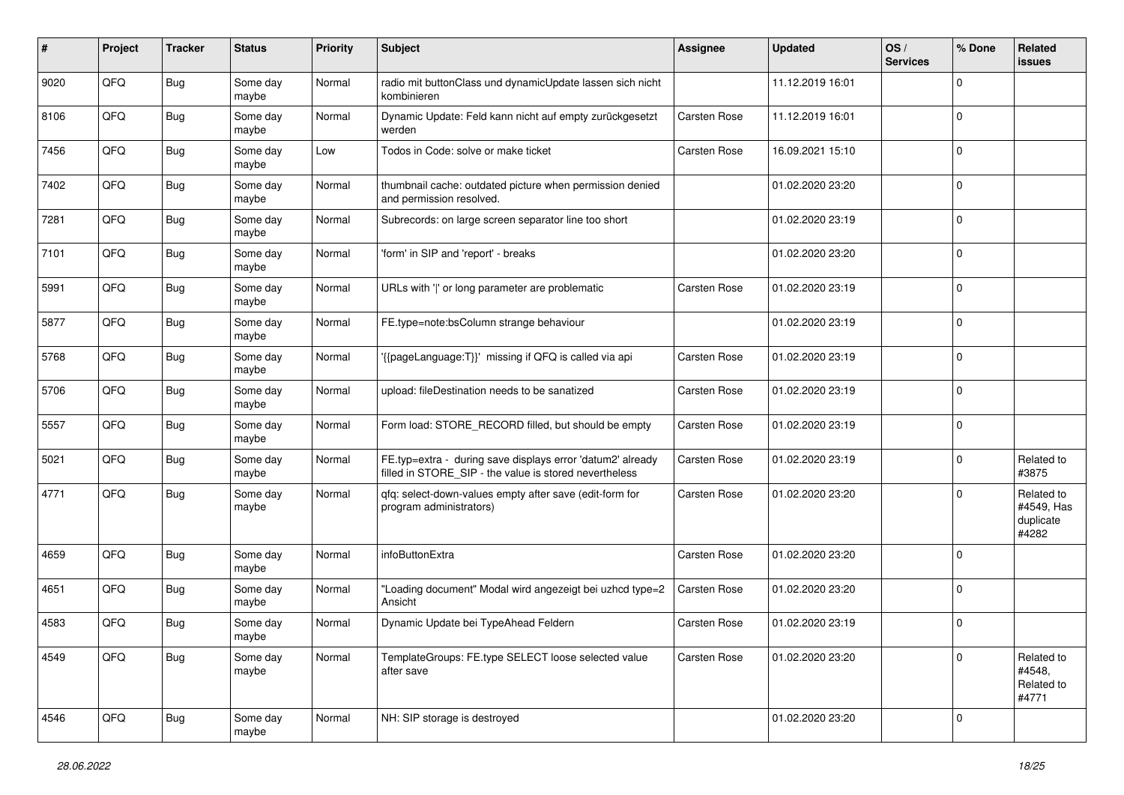| #    | Project | <b>Tracker</b> | <b>Status</b>     | <b>Priority</b> | <b>Subject</b>                                                                                                       | <b>Assignee</b> | <b>Updated</b>   | OS/<br><b>Services</b> | % Done      | <b>Related</b><br>issues                       |
|------|---------|----------------|-------------------|-----------------|----------------------------------------------------------------------------------------------------------------------|-----------------|------------------|------------------------|-------------|------------------------------------------------|
| 9020 | QFQ     | <b>Bug</b>     | Some day<br>maybe | Normal          | radio mit buttonClass und dynamicUpdate lassen sich nicht<br>kombinieren                                             |                 | 11.12.2019 16:01 |                        | $\mathbf 0$ |                                                |
| 8106 | QFQ     | Bug            | Some day<br>maybe | Normal          | Dynamic Update: Feld kann nicht auf empty zurückgesetzt<br>werden                                                    | Carsten Rose    | 11.12.2019 16:01 |                        | $\mathbf 0$ |                                                |
| 7456 | QFQ     | Bug            | Some day<br>maybe | Low             | Todos in Code: solve or make ticket                                                                                  | Carsten Rose    | 16.09.2021 15:10 |                        | $\mathbf 0$ |                                                |
| 7402 | QFQ     | <b>Bug</b>     | Some day<br>maybe | Normal          | thumbnail cache: outdated picture when permission denied<br>and permission resolved.                                 |                 | 01.02.2020 23:20 |                        | $\mathbf 0$ |                                                |
| 7281 | QFQ     | <b>Bug</b>     | Some day<br>maybe | Normal          | Subrecords: on large screen separator line too short                                                                 |                 | 01.02.2020 23:19 |                        | $\mathbf 0$ |                                                |
| 7101 | QFQ     | <b>Bug</b>     | Some day<br>maybe | Normal          | 'form' in SIP and 'report' - breaks                                                                                  |                 | 01.02.2020 23:20 |                        | $\mathbf 0$ |                                                |
| 5991 | QFQ     | <b>Bug</b>     | Some day<br>maybe | Normal          | URLs with ' ' or long parameter are problematic                                                                      | Carsten Rose    | 01.02.2020 23:19 |                        | $\mathbf 0$ |                                                |
| 5877 | QFQ     | <b>Bug</b>     | Some day<br>maybe | Normal          | FE.type=note:bsColumn strange behaviour                                                                              |                 | 01.02.2020 23:19 |                        | $\mathbf 0$ |                                                |
| 5768 | QFQ     | Bug            | Some day<br>maybe | Normal          | '{{pageLanguage:T}}' missing if QFQ is called via api                                                                | Carsten Rose    | 01.02.2020 23:19 |                        | $\mathbf 0$ |                                                |
| 5706 | QFQ     | <b>Bug</b>     | Some day<br>maybe | Normal          | upload: fileDestination needs to be sanatized                                                                        | Carsten Rose    | 01.02.2020 23:19 |                        | $\mathbf 0$ |                                                |
| 5557 | QFQ     | Bug            | Some day<br>maybe | Normal          | Form load: STORE_RECORD filled, but should be empty                                                                  | Carsten Rose    | 01.02.2020 23:19 |                        | $\mathbf 0$ |                                                |
| 5021 | QFQ     | <b>Bug</b>     | Some day<br>maybe | Normal          | FE.typ=extra - during save displays error 'datum2' already<br>filled in STORE_SIP - the value is stored nevertheless | Carsten Rose    | 01.02.2020 23:19 |                        | $\mathbf 0$ | Related to<br>#3875                            |
| 4771 | QFQ     | Bug            | Some day<br>maybe | Normal          | qfq: select-down-values empty after save (edit-form for<br>program administrators)                                   | Carsten Rose    | 01.02.2020 23:20 |                        | $\mathbf 0$ | Related to<br>#4549, Has<br>duplicate<br>#4282 |
| 4659 | QFQ     | <b>Bug</b>     | Some day<br>maybe | Normal          | infoButtonExtra                                                                                                      | Carsten Rose    | 01.02.2020 23:20 |                        | $\mathbf 0$ |                                                |
| 4651 | QFQ     | <b>Bug</b>     | Some day<br>maybe | Normal          | 'Loading document" Modal wird angezeigt bei uzhcd type=2<br>Ansicht                                                  | Carsten Rose    | 01.02.2020 23:20 |                        | $\mathbf 0$ |                                                |
| 4583 | QFQ     | Bug            | Some day<br>maybe | Normal          | Dynamic Update bei TypeAhead Feldern                                                                                 | Carsten Rose    | 01.02.2020 23:19 |                        | $\mathbf 0$ |                                                |
| 4549 | QFQ     | <b>Bug</b>     | Some day<br>maybe | Normal          | TemplateGroups: FE.type SELECT loose selected value<br>after save                                                    | Carsten Rose    | 01.02.2020 23:20 |                        | $\mathbf 0$ | Related to<br>#4548,<br>Related to<br>#4771    |
| 4546 | QFQ     | <b>Bug</b>     | Some day<br>maybe | Normal          | NH: SIP storage is destroyed                                                                                         |                 | 01.02.2020 23:20 |                        | $\mathbf 0$ |                                                |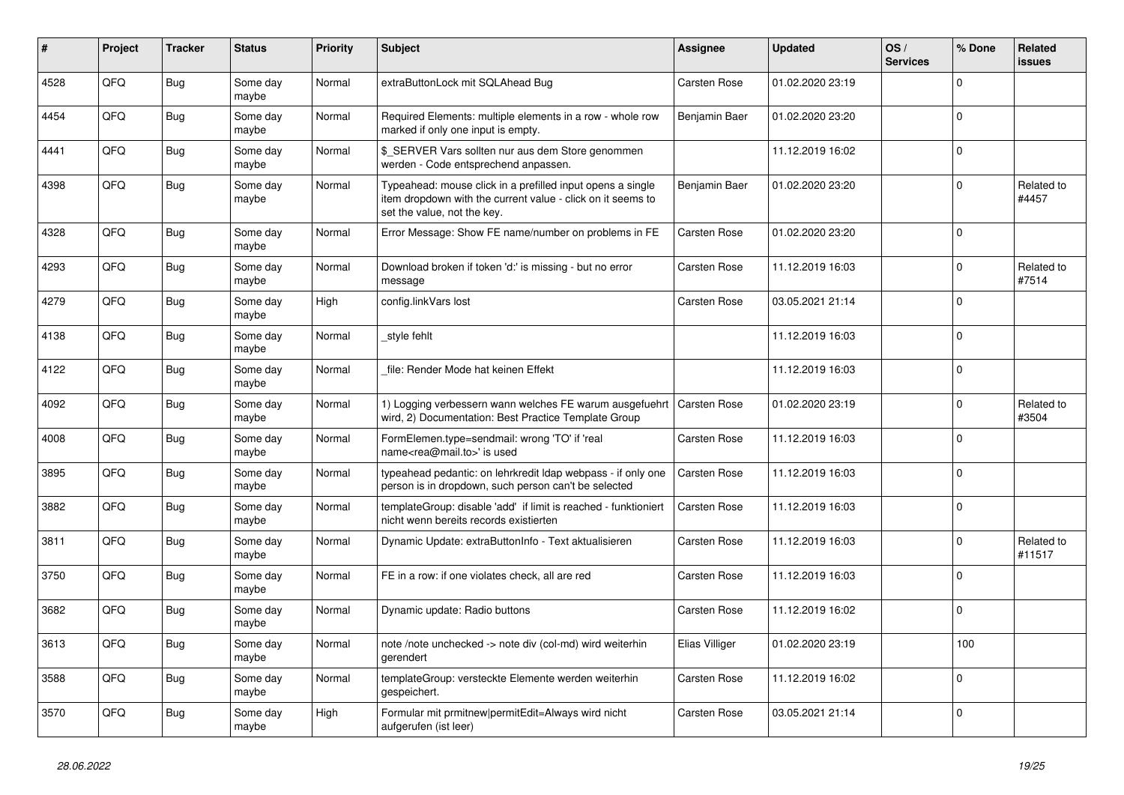| #    | Project | <b>Tracker</b> | <b>Status</b>     | <b>Priority</b> | <b>Subject</b>                                                                                                                                           | Assignee            | <b>Updated</b>   | OS/<br><b>Services</b> | % Done      | Related<br><b>issues</b> |
|------|---------|----------------|-------------------|-----------------|----------------------------------------------------------------------------------------------------------------------------------------------------------|---------------------|------------------|------------------------|-------------|--------------------------|
| 4528 | QFQ     | <b>Bug</b>     | Some day<br>maybe | Normal          | extraButtonLock mit SQLAhead Bug                                                                                                                         | <b>Carsten Rose</b> | 01.02.2020 23:19 |                        | $\mathbf 0$ |                          |
| 4454 | QFQ     | <b>Bug</b>     | Some day<br>maybe | Normal          | Required Elements: multiple elements in a row - whole row<br>marked if only one input is empty.                                                          | Benjamin Baer       | 01.02.2020 23:20 |                        | $\pmb{0}$   |                          |
| 4441 | QFQ     | Bug            | Some day<br>maybe | Normal          | \$ SERVER Vars sollten nur aus dem Store genommen<br>werden - Code entsprechend anpassen.                                                                |                     | 11.12.2019 16:02 |                        | $\Omega$    |                          |
| 4398 | QFQ     | Bug            | Some day<br>maybe | Normal          | Typeahead: mouse click in a prefilled input opens a single<br>item dropdown with the current value - click on it seems to<br>set the value, not the key. | Benjamin Baer       | 01.02.2020 23:20 |                        | $\Omega$    | Related to<br>#4457      |
| 4328 | QFQ     | Bug            | Some day<br>maybe | Normal          | Error Message: Show FE name/number on problems in FE                                                                                                     | Carsten Rose        | 01.02.2020 23:20 |                        | $\Omega$    |                          |
| 4293 | QFQ     | Bug            | Some day<br>maybe | Normal          | Download broken if token 'd:' is missing - but no error<br>message                                                                                       | <b>Carsten Rose</b> | 11.12.2019 16:03 |                        | $\mathbf 0$ | Related to<br>#7514      |
| 4279 | QFQ     | <b>Bug</b>     | Some day<br>maybe | High            | config.linkVars lost                                                                                                                                     | Carsten Rose        | 03.05.2021 21:14 |                        | $\mathbf 0$ |                          |
| 4138 | QFQ     | <b>Bug</b>     | Some day<br>maybe | Normal          | style fehlt                                                                                                                                              |                     | 11.12.2019 16:03 |                        | $\mathbf 0$ |                          |
| 4122 | QFQ     | <b>Bug</b>     | Some day<br>maybe | Normal          | file: Render Mode hat keinen Effekt                                                                                                                      |                     | 11.12.2019 16:03 |                        | $\mathbf 0$ |                          |
| 4092 | QFQ     | <b>Bug</b>     | Some day<br>maybe | Normal          | 1) Logging verbessern wann welches FE warum ausgefuehrt<br>wird, 2) Documentation: Best Practice Template Group                                          | Carsten Rose        | 01.02.2020 23:19 |                        | $\mathbf 0$ | Related to<br>#3504      |
| 4008 | QFQ     | <b>Bug</b>     | Some day<br>maybe | Normal          | FormElemen.type=sendmail: wrong 'TO' if 'real<br>name <rea@mail.to>' is used</rea@mail.to>                                                               | Carsten Rose        | 11.12.2019 16:03 |                        | $\mathbf 0$ |                          |
| 3895 | QFQ     | <b>Bug</b>     | Some day<br>maybe | Normal          | typeahead pedantic: on lehrkredit Idap webpass - if only one<br>person is in dropdown, such person can't be selected                                     | <b>Carsten Rose</b> | 11.12.2019 16:03 |                        | $\Omega$    |                          |
| 3882 | QFQ     | Bug            | Some day<br>maybe | Normal          | templateGroup: disable 'add' if limit is reached - funktioniert<br>nicht wenn bereits records existierten                                                | <b>Carsten Rose</b> | 11.12.2019 16:03 |                        | $\mathbf 0$ |                          |
| 3811 | QFQ     | Bug            | Some day<br>maybe | Normal          | Dynamic Update: extraButtonInfo - Text aktualisieren                                                                                                     | Carsten Rose        | 11.12.2019 16:03 |                        | $\mathbf 0$ | Related to<br>#11517     |
| 3750 | QFQ     | <b>Bug</b>     | Some day<br>maybe | Normal          | FE in a row: if one violates check, all are red                                                                                                          | Carsten Rose        | 11.12.2019 16:03 |                        | $\mathbf 0$ |                          |
| 3682 | QFQ     | <b>Bug</b>     | Some day<br>maybe | Normal          | Dynamic update: Radio buttons                                                                                                                            | <b>Carsten Rose</b> | 11.12.2019 16:02 |                        | $\Omega$    |                          |
| 3613 | QFQ     | <b>Bug</b>     | Some day<br>maybe | Normal          | note /note unchecked -> note div (col-md) wird weiterhin<br>gerendert                                                                                    | Elias Villiger      | 01.02.2020 23:19 |                        | 100         |                          |
| 3588 | QFQ     | <b>Bug</b>     | Some day<br>maybe | Normal          | templateGroup: versteckte Elemente werden weiterhin<br>gespeichert.                                                                                      | Carsten Rose        | 11.12.2019 16:02 |                        | $\Omega$    |                          |
| 3570 | QFQ     | <b>Bug</b>     | Some day<br>maybe | High            | Formular mit prmitnew permitEdit=Always wird nicht<br>aufgerufen (ist leer)                                                                              | <b>Carsten Rose</b> | 03.05.2021 21:14 |                        | $\mathbf 0$ |                          |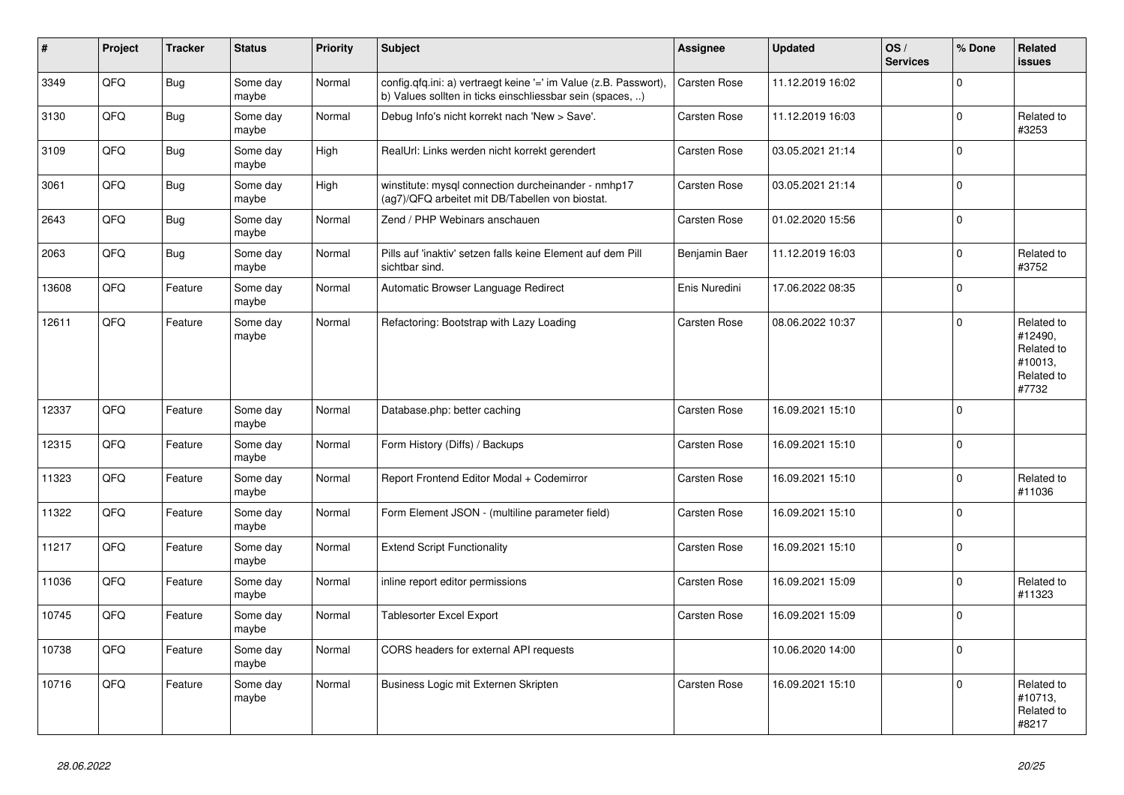| #     | Project | <b>Tracker</b> | <b>Status</b>     | <b>Priority</b> | <b>Subject</b>                                                                                                                | <b>Assignee</b>     | <b>Updated</b>   | OS/<br><b>Services</b> | % Done      | Related<br><b>issues</b>                                              |
|-------|---------|----------------|-------------------|-----------------|-------------------------------------------------------------------------------------------------------------------------------|---------------------|------------------|------------------------|-------------|-----------------------------------------------------------------------|
| 3349  | QFQ     | <b>Bug</b>     | Some day<br>maybe | Normal          | config.qfq.ini: a) vertraegt keine '=' im Value (z.B. Passwort),<br>b) Values sollten in ticks einschliessbar sein (spaces, ) | Carsten Rose        | 11.12.2019 16:02 |                        | $\Omega$    |                                                                       |
| 3130  | QFQ     | <b>Bug</b>     | Some day<br>maybe | Normal          | Debug Info's nicht korrekt nach 'New > Save'.                                                                                 | <b>Carsten Rose</b> | 11.12.2019 16:03 |                        | $\mathbf 0$ | Related to<br>#3253                                                   |
| 3109  | QFQ     | <b>Bug</b>     | Some day<br>maybe | High            | RealUrl: Links werden nicht korrekt gerendert                                                                                 | Carsten Rose        | 03.05.2021 21:14 |                        | $\mathbf 0$ |                                                                       |
| 3061  | QFQ     | <b>Bug</b>     | Some day<br>maybe | High            | winstitute: mysql connection durcheinander - nmhp17<br>(ag7)/QFQ arbeitet mit DB/Tabellen von biostat.                        | Carsten Rose        | 03.05.2021 21:14 |                        | $\mathbf 0$ |                                                                       |
| 2643  | QFQ     | Bug            | Some day<br>maybe | Normal          | Zend / PHP Webinars anschauen                                                                                                 | Carsten Rose        | 01.02.2020 15:56 |                        | $\mathbf 0$ |                                                                       |
| 2063  | QFQ     | <b>Bug</b>     | Some day<br>maybe | Normal          | Pills auf 'inaktiv' setzen falls keine Element auf dem Pill<br>sichtbar sind.                                                 | Benjamin Baer       | 11.12.2019 16:03 |                        | $\Omega$    | Related to<br>#3752                                                   |
| 13608 | QFQ     | Feature        | Some day<br>maybe | Normal          | Automatic Browser Language Redirect                                                                                           | Enis Nuredini       | 17.06.2022 08:35 |                        | $\Omega$    |                                                                       |
| 12611 | QFQ     | Feature        | Some day<br>maybe | Normal          | Refactoring: Bootstrap with Lazy Loading                                                                                      | Carsten Rose        | 08.06.2022 10:37 |                        | $\Omega$    | Related to<br>#12490,<br>Related to<br>#10013,<br>Related to<br>#7732 |
| 12337 | QFQ     | Feature        | Some day<br>maybe | Normal          | Database.php: better caching                                                                                                  | Carsten Rose        | 16.09.2021 15:10 |                        | $\Omega$    |                                                                       |
| 12315 | QFQ     | Feature        | Some day<br>maybe | Normal          | Form History (Diffs) / Backups                                                                                                | Carsten Rose        | 16.09.2021 15:10 |                        | $\mathbf 0$ |                                                                       |
| 11323 | QFQ     | Feature        | Some day<br>maybe | Normal          | Report Frontend Editor Modal + Codemirror                                                                                     | <b>Carsten Rose</b> | 16.09.2021 15:10 |                        | $\mathbf 0$ | Related to<br>#11036                                                  |
| 11322 | QFQ     | Feature        | Some day<br>maybe | Normal          | Form Element JSON - (multiline parameter field)                                                                               | Carsten Rose        | 16.09.2021 15:10 |                        | $\Omega$    |                                                                       |
| 11217 | QFQ     | Feature        | Some day<br>maybe | Normal          | <b>Extend Script Functionality</b>                                                                                            | <b>Carsten Rose</b> | 16.09.2021 15:10 |                        | $\Omega$    |                                                                       |
| 11036 | QFQ     | Feature        | Some day<br>maybe | Normal          | inline report editor permissions                                                                                              | Carsten Rose        | 16.09.2021 15:09 |                        | $\mathbf 0$ | Related to<br>#11323                                                  |
| 10745 | QFQ     | Feature        | Some day<br>maybe | Normal          | Tablesorter Excel Export                                                                                                      | <b>Carsten Rose</b> | 16.09.2021 15:09 |                        | $\Omega$    |                                                                       |
| 10738 | QFQ     | Feature        | Some day<br>maybe | Normal          | CORS headers for external API requests                                                                                        |                     | 10.06.2020 14:00 |                        | $\mathbf 0$ |                                                                       |
| 10716 | QFQ     | Feature        | Some day<br>maybe | Normal          | Business Logic mit Externen Skripten                                                                                          | Carsten Rose        | 16.09.2021 15:10 |                        | $\mathbf 0$ | Related to<br>#10713,<br>Related to<br>#8217                          |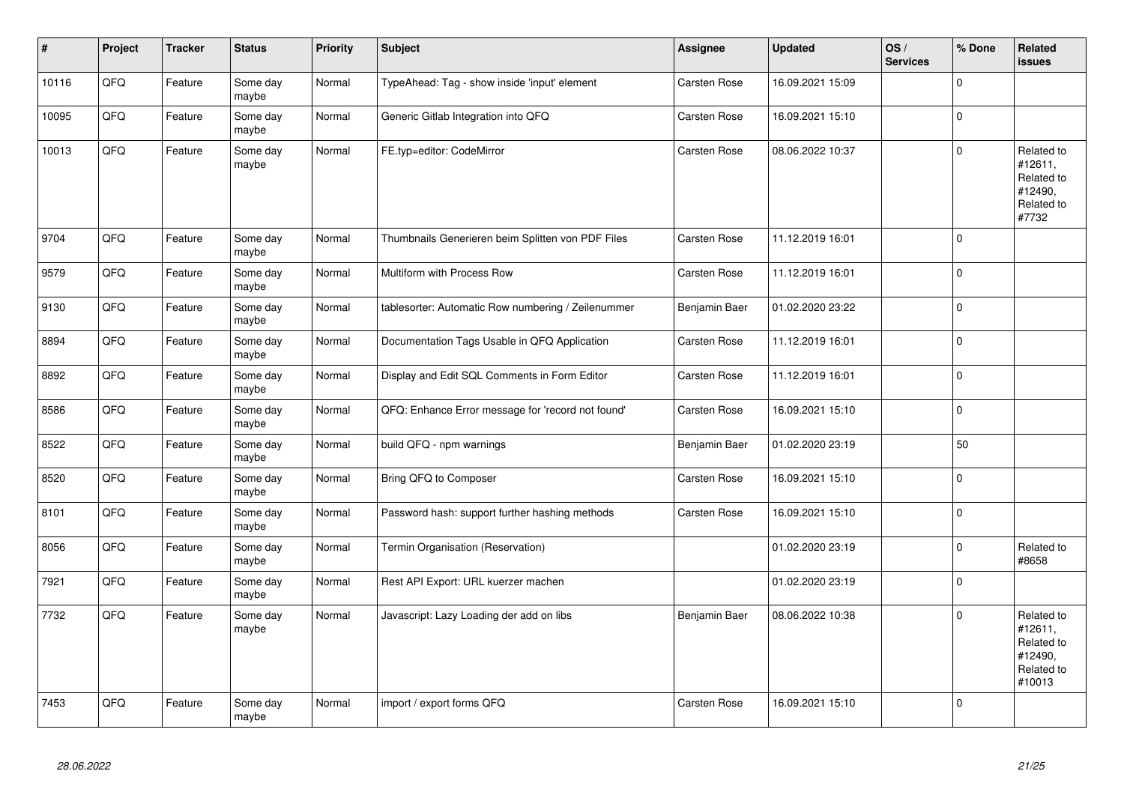| $\sharp$ | Project | <b>Tracker</b> | <b>Status</b>     | <b>Priority</b> | <b>Subject</b>                                     | Assignee            | <b>Updated</b>   | OS/<br><b>Services</b> | % Done      | Related<br><b>issues</b>                                               |
|----------|---------|----------------|-------------------|-----------------|----------------------------------------------------|---------------------|------------------|------------------------|-------------|------------------------------------------------------------------------|
| 10116    | QFQ     | Feature        | Some day<br>maybe | Normal          | TypeAhead: Tag - show inside 'input' element       | <b>Carsten Rose</b> | 16.09.2021 15:09 |                        | $\Omega$    |                                                                        |
| 10095    | QFQ     | Feature        | Some day<br>maybe | Normal          | Generic Gitlab Integration into QFQ                | Carsten Rose        | 16.09.2021 15:10 |                        | $\mathbf 0$ |                                                                        |
| 10013    | QFQ     | Feature        | Some day<br>maybe | Normal          | FE.typ=editor: CodeMirror                          | <b>Carsten Rose</b> | 08.06.2022 10:37 |                        | $\mathbf 0$ | Related to<br>#12611,<br>Related to<br>#12490,<br>Related to<br>#7732  |
| 9704     | QFQ     | Feature        | Some day<br>maybe | Normal          | Thumbnails Generieren beim Splitten von PDF Files  | <b>Carsten Rose</b> | 11.12.2019 16:01 |                        | $\mathbf 0$ |                                                                        |
| 9579     | QFQ     | Feature        | Some day<br>maybe | Normal          | Multiform with Process Row                         | Carsten Rose        | 11.12.2019 16:01 |                        | $\mathbf 0$ |                                                                        |
| 9130     | QFQ     | Feature        | Some day<br>maybe | Normal          | tablesorter: Automatic Row numbering / Zeilenummer | Benjamin Baer       | 01.02.2020 23:22 |                        | $\mathbf 0$ |                                                                        |
| 8894     | QFQ     | Feature        | Some day<br>maybe | Normal          | Documentation Tags Usable in QFQ Application       | Carsten Rose        | 11.12.2019 16:01 |                        | $\mathbf 0$ |                                                                        |
| 8892     | QFQ     | Feature        | Some day<br>maybe | Normal          | Display and Edit SQL Comments in Form Editor       | Carsten Rose        | 11.12.2019 16:01 |                        | $\pmb{0}$   |                                                                        |
| 8586     | QFQ     | Feature        | Some day<br>maybe | Normal          | QFQ: Enhance Error message for 'record not found'  | Carsten Rose        | 16.09.2021 15:10 |                        | $\mathbf 0$ |                                                                        |
| 8522     | QFQ     | Feature        | Some day<br>maybe | Normal          | build QFQ - npm warnings                           | Benjamin Baer       | 01.02.2020 23:19 |                        | 50          |                                                                        |
| 8520     | QFQ     | Feature        | Some day<br>maybe | Normal          | Bring QFQ to Composer                              | <b>Carsten Rose</b> | 16.09.2021 15:10 |                        | $\mathbf 0$ |                                                                        |
| 8101     | QFQ     | Feature        | Some day<br>maybe | Normal          | Password hash: support further hashing methods     | Carsten Rose        | 16.09.2021 15:10 |                        | $\mathbf 0$ |                                                                        |
| 8056     | QFQ     | Feature        | Some day<br>maybe | Normal          | Termin Organisation (Reservation)                  |                     | 01.02.2020 23:19 |                        | $\pmb{0}$   | Related to<br>#8658                                                    |
| 7921     | QFQ     | Feature        | Some day<br>maybe | Normal          | Rest API Export: URL kuerzer machen                |                     | 01.02.2020 23:19 |                        | $\Omega$    |                                                                        |
| 7732     | QFQ     | Feature        | Some day<br>maybe | Normal          | Javascript: Lazy Loading der add on libs           | Benjamin Baer       | 08.06.2022 10:38 |                        | $\Omega$    | Related to<br>#12611,<br>Related to<br>#12490,<br>Related to<br>#10013 |
| 7453     | QFQ     | Feature        | Some day<br>maybe | Normal          | import / export forms QFQ                          | Carsten Rose        | 16.09.2021 15:10 |                        | $\Omega$    |                                                                        |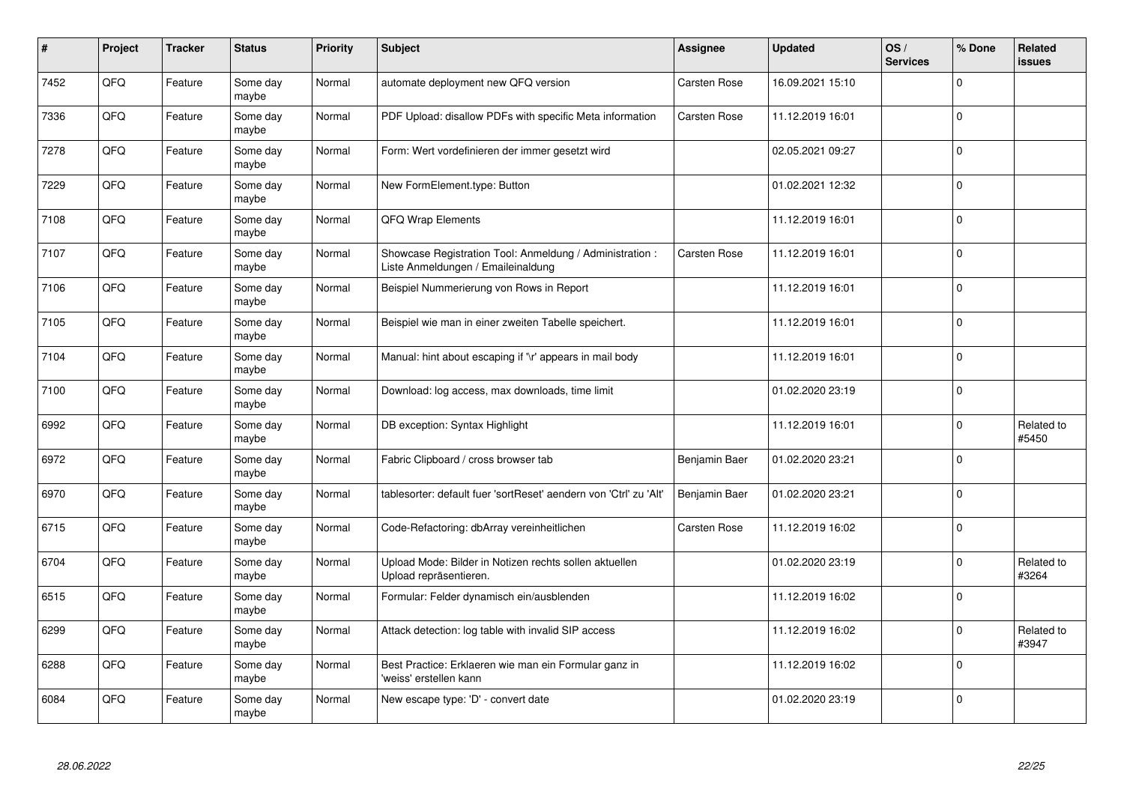| #    | Project | <b>Tracker</b> | <b>Status</b>     | <b>Priority</b> | <b>Subject</b>                                                                                 | <b>Assignee</b>     | <b>Updated</b>   | OS/<br><b>Services</b> | % Done      | Related<br><b>issues</b> |
|------|---------|----------------|-------------------|-----------------|------------------------------------------------------------------------------------------------|---------------------|------------------|------------------------|-------------|--------------------------|
| 7452 | QFQ     | Feature        | Some day<br>maybe | Normal          | automate deployment new QFQ version                                                            | <b>Carsten Rose</b> | 16.09.2021 15:10 |                        | $\Omega$    |                          |
| 7336 | QFQ     | Feature        | Some day<br>maybe | Normal          | PDF Upload: disallow PDFs with specific Meta information                                       | <b>Carsten Rose</b> | 11.12.2019 16:01 |                        | $\mathbf 0$ |                          |
| 7278 | QFQ     | Feature        | Some day<br>maybe | Normal          | Form: Wert vordefinieren der immer gesetzt wird                                                |                     | 02.05.2021 09:27 |                        | $\mathbf 0$ |                          |
| 7229 | QFQ     | Feature        | Some day<br>maybe | Normal          | New FormElement.type: Button                                                                   |                     | 01.02.2021 12:32 |                        | $\mathbf 0$ |                          |
| 7108 | QFQ     | Feature        | Some day<br>maybe | Normal          | QFQ Wrap Elements                                                                              |                     | 11.12.2019 16:01 |                        | $\mathbf 0$ |                          |
| 7107 | QFQ     | Feature        | Some dav<br>maybe | Normal          | Showcase Registration Tool: Anmeldung / Administration :<br>Liste Anmeldungen / Emaileinaldung | <b>Carsten Rose</b> | 11.12.2019 16:01 |                        | $\mathbf 0$ |                          |
| 7106 | QFQ     | Feature        | Some day<br>maybe | Normal          | Beispiel Nummerierung von Rows in Report                                                       |                     | 11.12.2019 16:01 |                        | $\mathbf 0$ |                          |
| 7105 | QFQ     | Feature        | Some day<br>maybe | Normal          | Beispiel wie man in einer zweiten Tabelle speichert.                                           |                     | 11.12.2019 16:01 |                        | $\Omega$    |                          |
| 7104 | QFQ     | Feature        | Some day<br>maybe | Normal          | Manual: hint about escaping if '\r' appears in mail body                                       |                     | 11.12.2019 16:01 |                        | $\mathbf 0$ |                          |
| 7100 | QFQ     | Feature        | Some dav<br>maybe | Normal          | Download: log access, max downloads, time limit                                                |                     | 01.02.2020 23:19 |                        | $\mathbf 0$ |                          |
| 6992 | QFQ     | Feature        | Some day<br>maybe | Normal          | DB exception: Syntax Highlight                                                                 |                     | 11.12.2019 16:01 |                        | $\mathbf 0$ | Related to<br>#5450      |
| 6972 | QFQ     | Feature        | Some day<br>maybe | Normal          | Fabric Clipboard / cross browser tab                                                           | Benjamin Baer       | 01.02.2020 23:21 |                        | $\mathbf 0$ |                          |
| 6970 | QFQ     | Feature        | Some day<br>maybe | Normal          | tablesorter: default fuer 'sortReset' aendern von 'Ctrl' zu 'Alt'                              | Benjamin Baer       | 01.02.2020 23:21 |                        | $\pmb{0}$   |                          |
| 6715 | QFQ     | Feature        | Some day<br>maybe | Normal          | Code-Refactoring: dbArray vereinheitlichen                                                     | <b>Carsten Rose</b> | 11.12.2019 16:02 |                        | $\mathbf 0$ |                          |
| 6704 | QFQ     | Feature        | Some day<br>maybe | Normal          | Upload Mode: Bilder in Notizen rechts sollen aktuellen<br>Upload repräsentieren.               |                     | 01.02.2020 23:19 |                        | $\mathbf 0$ | Related to<br>#3264      |
| 6515 | QFQ     | Feature        | Some day<br>maybe | Normal          | Formular: Felder dynamisch ein/ausblenden                                                      |                     | 11.12.2019 16:02 |                        | $\mathbf 0$ |                          |
| 6299 | QFQ     | Feature        | Some day<br>maybe | Normal          | Attack detection: log table with invalid SIP access                                            |                     | 11.12.2019 16:02 |                        | $\mathbf 0$ | Related to<br>#3947      |
| 6288 | QFQ     | Feature        | Some day<br>maybe | Normal          | Best Practice: Erklaeren wie man ein Formular ganz in<br>'weiss' erstellen kann                |                     | 11.12.2019 16:02 |                        | $\mathbf 0$ |                          |
| 6084 | QFQ     | Feature        | Some day<br>maybe | Normal          | New escape type: 'D' - convert date                                                            |                     | 01.02.2020 23:19 |                        | $\mathbf 0$ |                          |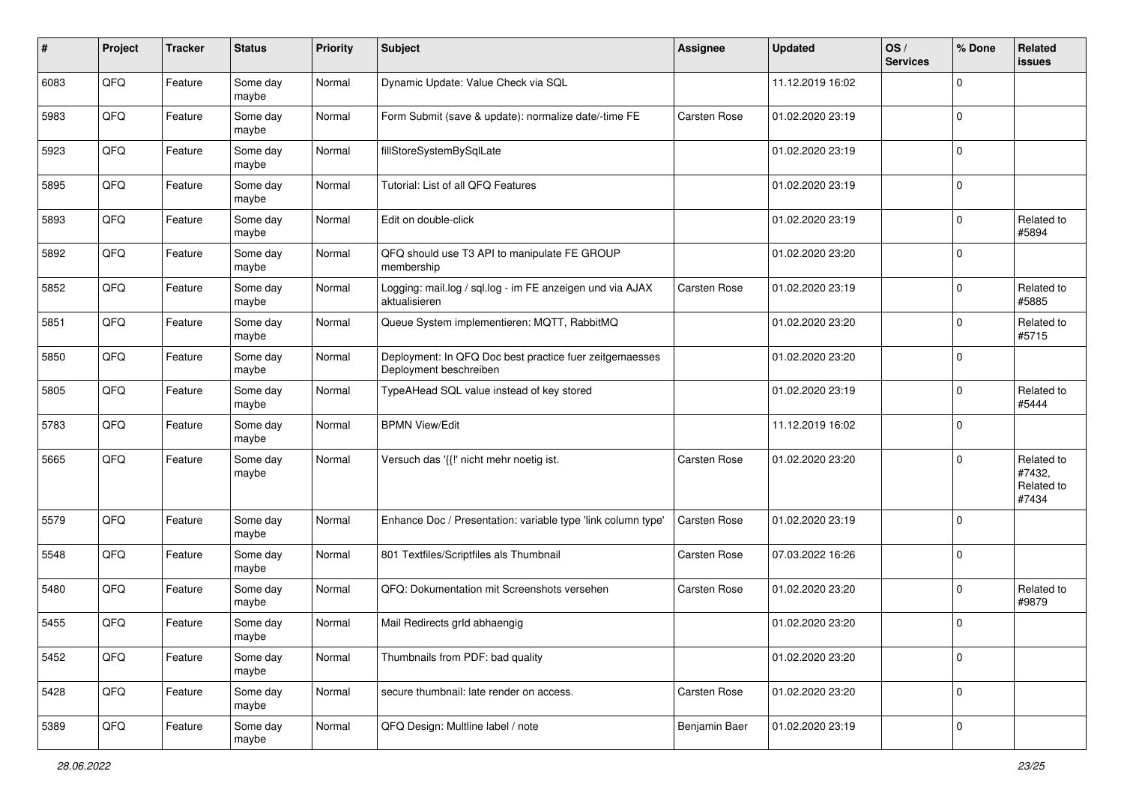| #    | Project | <b>Tracker</b> | <b>Status</b>     | <b>Priority</b> | <b>Subject</b>                                                                    | <b>Assignee</b> | <b>Updated</b>   | OS/<br><b>Services</b> | % Done      | Related<br><b>issues</b>                    |
|------|---------|----------------|-------------------|-----------------|-----------------------------------------------------------------------------------|-----------------|------------------|------------------------|-------------|---------------------------------------------|
| 6083 | QFQ     | Feature        | Some day<br>maybe | Normal          | Dynamic Update: Value Check via SQL                                               |                 | 11.12.2019 16:02 |                        | $\mathbf 0$ |                                             |
| 5983 | QFQ     | Feature        | Some day<br>maybe | Normal          | Form Submit (save & update): normalize date/-time FE                              | Carsten Rose    | 01.02.2020 23:19 |                        | $\mathbf 0$ |                                             |
| 5923 | QFQ     | Feature        | Some day<br>maybe | Normal          | fillStoreSystemBySqlLate                                                          |                 | 01.02.2020 23:19 |                        | $\mathbf 0$ |                                             |
| 5895 | QFQ     | Feature        | Some day<br>maybe | Normal          | Tutorial: List of all QFQ Features                                                |                 | 01.02.2020 23:19 |                        | $\mathbf 0$ |                                             |
| 5893 | QFQ     | Feature        | Some day<br>maybe | Normal          | Edit on double-click                                                              |                 | 01.02.2020 23:19 |                        | $\mathbf 0$ | Related to<br>#5894                         |
| 5892 | QFQ     | Feature        | Some day<br>maybe | Normal          | QFQ should use T3 API to manipulate FE GROUP<br>membership                        |                 | 01.02.2020 23:20 |                        | $\Omega$    |                                             |
| 5852 | QFQ     | Feature        | Some day<br>maybe | Normal          | Logging: mail.log / sql.log - im FE anzeigen und via AJAX<br>aktualisieren        | Carsten Rose    | 01.02.2020 23:19 |                        | $\mathbf 0$ | Related to<br>#5885                         |
| 5851 | QFQ     | Feature        | Some day<br>maybe | Normal          | Queue System implementieren: MQTT, RabbitMQ                                       |                 | 01.02.2020 23:20 |                        | $\mathbf 0$ | Related to<br>#5715                         |
| 5850 | QFQ     | Feature        | Some day<br>maybe | Normal          | Deployment: In QFQ Doc best practice fuer zeitgemaesses<br>Deployment beschreiben |                 | 01.02.2020 23:20 |                        | $\mathbf 0$ |                                             |
| 5805 | QFQ     | Feature        | Some day<br>maybe | Normal          | TypeAHead SQL value instead of key stored                                         |                 | 01.02.2020 23:19 |                        | $\mathbf 0$ | Related to<br>#5444                         |
| 5783 | QFQ     | Feature        | Some day<br>maybe | Normal          | <b>BPMN View/Edit</b>                                                             |                 | 11.12.2019 16:02 |                        | $\mathbf 0$ |                                             |
| 5665 | QFQ     | Feature        | Some day<br>maybe | Normal          | Versuch das '{{!' nicht mehr noetig ist.                                          | Carsten Rose    | 01.02.2020 23:20 |                        | $\mathbf 0$ | Related to<br>#7432,<br>Related to<br>#7434 |
| 5579 | QFQ     | Feature        | Some day<br>maybe | Normal          | Enhance Doc / Presentation: variable type 'link column type'                      | Carsten Rose    | 01.02.2020 23:19 |                        | $\mathbf 0$ |                                             |
| 5548 | QFQ     | Feature        | Some day<br>maybe | Normal          | 801 Textfiles/Scriptfiles als Thumbnail                                           | Carsten Rose    | 07.03.2022 16:26 |                        | $\mathbf 0$ |                                             |
| 5480 | QFQ     | Feature        | Some day<br>maybe | Normal          | QFQ: Dokumentation mit Screenshots versehen                                       | Carsten Rose    | 01.02.2020 23:20 |                        | $\mathbf 0$ | Related to<br>#9879                         |
| 5455 | QFQ     | Feature        | Some day<br>maybe | Normal          | Mail Redirects grld abhaengig                                                     |                 | 01.02.2020 23:20 |                        | $\mathbf 0$ |                                             |
| 5452 | QFQ     | Feature        | Some day<br>maybe | Normal          | Thumbnails from PDF: bad quality                                                  |                 | 01.02.2020 23:20 |                        | $\mathbf 0$ |                                             |
| 5428 | QFQ     | Feature        | Some day<br>maybe | Normal          | secure thumbnail: late render on access.                                          | Carsten Rose    | 01.02.2020 23:20 |                        | $\mathbf 0$ |                                             |
| 5389 | QFQ     | Feature        | Some day<br>maybe | Normal          | QFQ Design: Multline label / note                                                 | Benjamin Baer   | 01.02.2020 23:19 |                        | $\mathbf 0$ |                                             |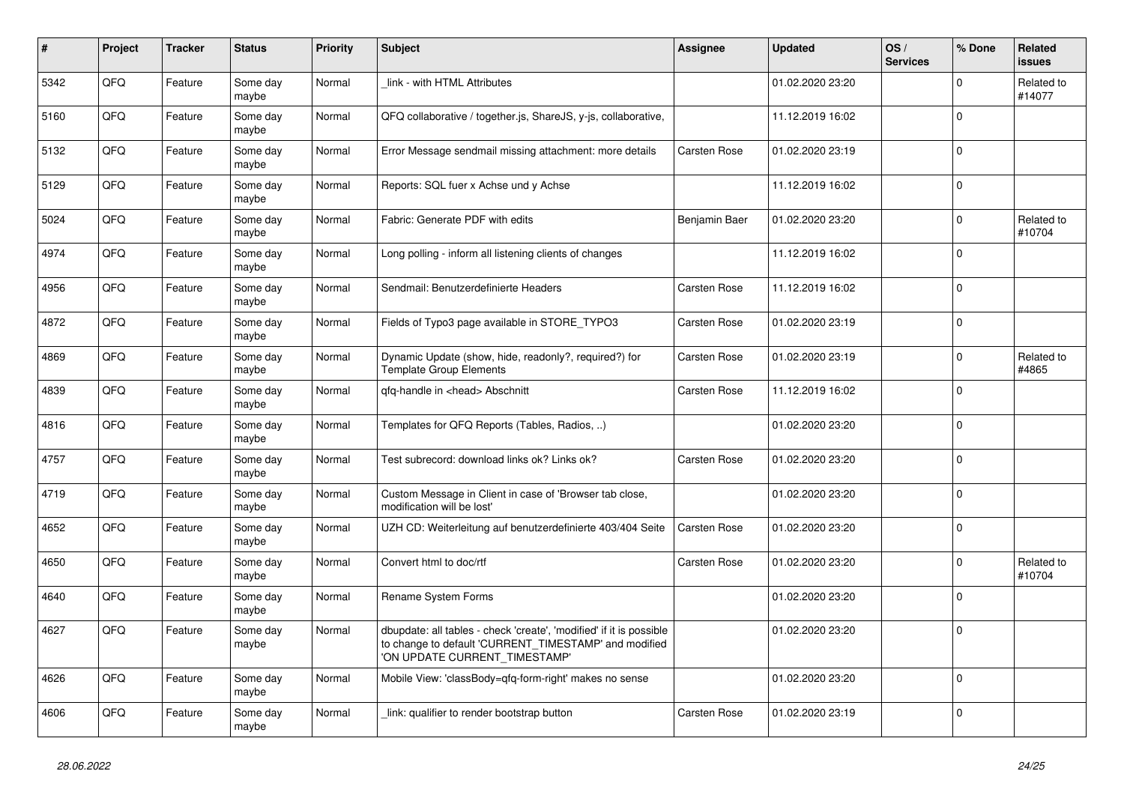| $\pmb{\sharp}$ | <b>Project</b> | <b>Tracker</b> | <b>Status</b>     | <b>Priority</b> | <b>Subject</b>                                                                                                                                                | Assignee            | <b>Updated</b>   | OS/<br><b>Services</b> | % Done      | Related<br><b>issues</b> |
|----------------|----------------|----------------|-------------------|-----------------|---------------------------------------------------------------------------------------------------------------------------------------------------------------|---------------------|------------------|------------------------|-------------|--------------------------|
| 5342           | QFQ            | Feature        | Some day<br>maybe | Normal          | link - with HTML Attributes                                                                                                                                   |                     | 01.02.2020 23:20 |                        | $\Omega$    | Related to<br>#14077     |
| 5160           | QFQ            | Feature        | Some day<br>maybe | Normal          | QFQ collaborative / together.js, ShareJS, y-js, collaborative,                                                                                                |                     | 11.12.2019 16:02 |                        | $\mathbf 0$ |                          |
| 5132           | QFQ            | Feature        | Some day<br>maybe | Normal          | Error Message sendmail missing attachment: more details                                                                                                       | <b>Carsten Rose</b> | 01.02.2020 23:19 |                        | $\Omega$    |                          |
| 5129           | QFQ            | Feature        | Some day<br>maybe | Normal          | Reports: SQL fuer x Achse und y Achse                                                                                                                         |                     | 11.12.2019 16:02 |                        | $\mathbf 0$ |                          |
| 5024           | QFQ            | Feature        | Some day<br>maybe | Normal          | Fabric: Generate PDF with edits                                                                                                                               | Benjamin Baer       | 01.02.2020 23:20 |                        | $\mathbf 0$ | Related to<br>#10704     |
| 4974           | QFQ            | Feature        | Some day<br>maybe | Normal          | Long polling - inform all listening clients of changes                                                                                                        |                     | 11.12.2019 16:02 |                        | $\mathbf 0$ |                          |
| 4956           | QFQ            | Feature        | Some day<br>maybe | Normal          | Sendmail: Benutzerdefinierte Headers                                                                                                                          | <b>Carsten Rose</b> | 11.12.2019 16:02 |                        | $\Omega$    |                          |
| 4872           | QFQ            | Feature        | Some day<br>maybe | Normal          | Fields of Typo3 page available in STORE_TYPO3                                                                                                                 | Carsten Rose        | 01.02.2020 23:19 |                        | $\mathbf 0$ |                          |
| 4869           | QFQ            | Feature        | Some day<br>maybe | Normal          | Dynamic Update (show, hide, readonly?, required?) for<br><b>Template Group Elements</b>                                                                       | Carsten Rose        | 01.02.2020 23:19 |                        | $\mathbf 0$ | Related to<br>#4865      |
| 4839           | QFQ            | Feature        | Some day<br>maybe | Normal          | qfq-handle in <head> Abschnitt</head>                                                                                                                         | <b>Carsten Rose</b> | 11.12.2019 16:02 |                        | $\mathbf 0$ |                          |
| 4816           | QFQ            | Feature        | Some day<br>maybe | Normal          | Templates for QFQ Reports (Tables, Radios, )                                                                                                                  |                     | 01.02.2020 23:20 |                        | $\mathbf 0$ |                          |
| 4757           | QFQ            | Feature        | Some day<br>maybe | Normal          | Test subrecord: download links ok? Links ok?                                                                                                                  | Carsten Rose        | 01.02.2020 23:20 |                        | $\mathbf 0$ |                          |
| 4719           | QFQ            | Feature        | Some day<br>maybe | Normal          | Custom Message in Client in case of 'Browser tab close,<br>modification will be lost'                                                                         |                     | 01.02.2020 23:20 |                        | $\Omega$    |                          |
| 4652           | QFQ            | Feature        | Some day<br>maybe | Normal          | UZH CD: Weiterleitung auf benutzerdefinierte 403/404 Seite                                                                                                    | <b>Carsten Rose</b> | 01.02.2020 23:20 |                        | $\Omega$    |                          |
| 4650           | QFQ            | Feature        | Some day<br>maybe | Normal          | Convert html to doc/rtf                                                                                                                                       | <b>Carsten Rose</b> | 01.02.2020 23:20 |                        | $\mathbf 0$ | Related to<br>#10704     |
| 4640           | QFQ            | Feature        | Some day<br>maybe | Normal          | Rename System Forms                                                                                                                                           |                     | 01.02.2020 23:20 |                        | $\mathbf 0$ |                          |
| 4627           | QFQ            | Feature        | Some day<br>maybe | Normal          | dbupdate: all tables - check 'create', 'modified' if it is possible<br>to change to default 'CURRENT_TIMESTAMP' and modified<br>'ON UPDATE CURRENT TIMESTAMP' |                     | 01.02.2020 23:20 |                        | $\mathbf 0$ |                          |
| 4626           | QFQ            | Feature        | Some day<br>maybe | Normal          | Mobile View: 'classBody=qfq-form-right' makes no sense                                                                                                        |                     | 01.02.2020 23:20 |                        | $\mathbf 0$ |                          |
| 4606           | QFQ            | Feature        | Some day<br>maybe | Normal          | link: qualifier to render bootstrap button                                                                                                                    | Carsten Rose        | 01.02.2020 23:19 |                        | $\mathbf 0$ |                          |